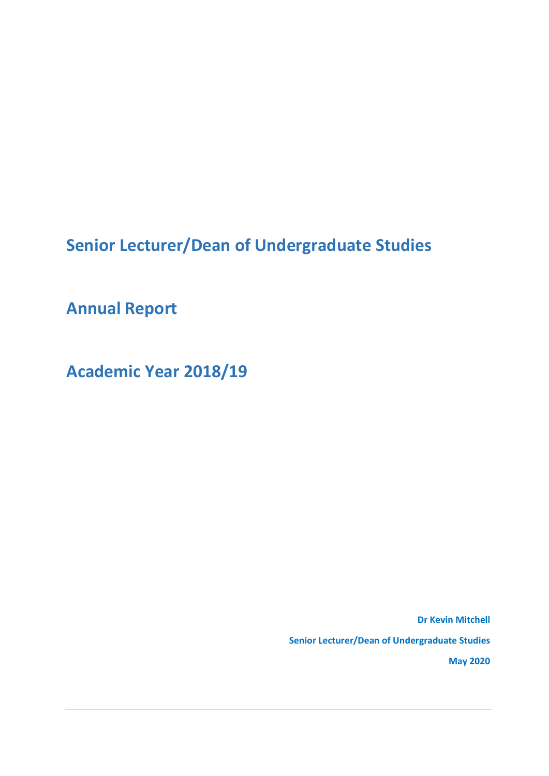**Senior Lecturer/Dean of Undergraduate Studies**

**Annual Report**

**Academic Year 2018/19**

**Dr Kevin Mitchell Senior Lecturer/Dean of Undergraduate Studies May 2020**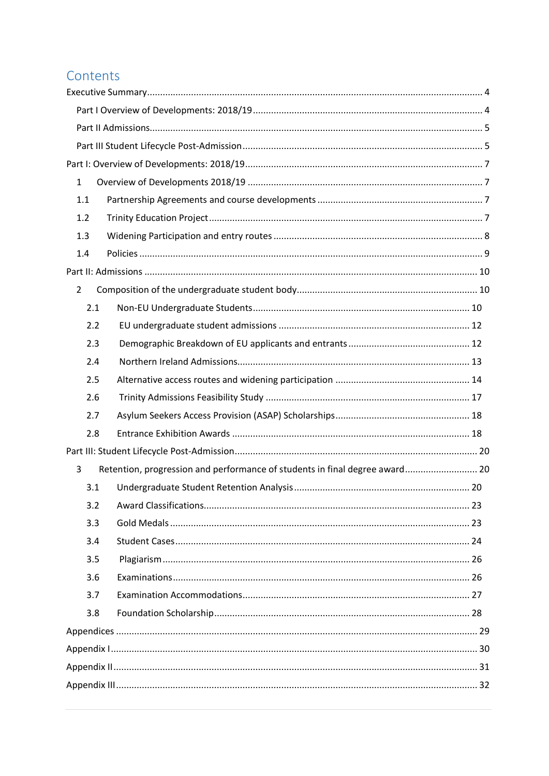### Contents

| $\mathbf{1}$                                                                     |  |  |  |  |  |  |  |
|----------------------------------------------------------------------------------|--|--|--|--|--|--|--|
| 1.1                                                                              |  |  |  |  |  |  |  |
| 1.2                                                                              |  |  |  |  |  |  |  |
| 1.3                                                                              |  |  |  |  |  |  |  |
| 1.4                                                                              |  |  |  |  |  |  |  |
|                                                                                  |  |  |  |  |  |  |  |
| $\overline{2}$                                                                   |  |  |  |  |  |  |  |
| 2.1                                                                              |  |  |  |  |  |  |  |
| 2.2                                                                              |  |  |  |  |  |  |  |
| 2.3                                                                              |  |  |  |  |  |  |  |
| 2.4                                                                              |  |  |  |  |  |  |  |
| 2.5                                                                              |  |  |  |  |  |  |  |
| 2.6                                                                              |  |  |  |  |  |  |  |
| 2.7                                                                              |  |  |  |  |  |  |  |
| 2.8                                                                              |  |  |  |  |  |  |  |
|                                                                                  |  |  |  |  |  |  |  |
| Retention, progression and performance of students in final degree award 20<br>3 |  |  |  |  |  |  |  |
| 3.1                                                                              |  |  |  |  |  |  |  |
| 3.2                                                                              |  |  |  |  |  |  |  |
| 3.3                                                                              |  |  |  |  |  |  |  |
| 3.4                                                                              |  |  |  |  |  |  |  |
| 3.5                                                                              |  |  |  |  |  |  |  |
| 3.6                                                                              |  |  |  |  |  |  |  |
| 3.7                                                                              |  |  |  |  |  |  |  |
| 3.8                                                                              |  |  |  |  |  |  |  |
|                                                                                  |  |  |  |  |  |  |  |
|                                                                                  |  |  |  |  |  |  |  |
|                                                                                  |  |  |  |  |  |  |  |
|                                                                                  |  |  |  |  |  |  |  |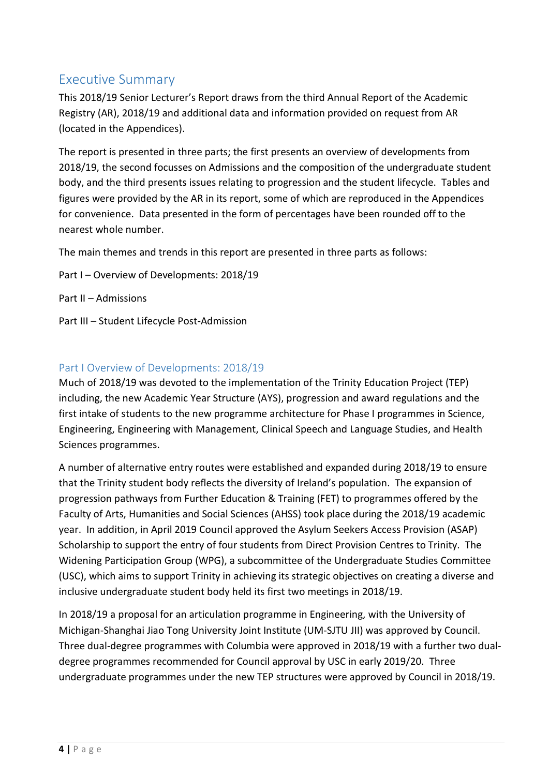### <span id="page-3-0"></span>Executive Summary

This 2018/19 Senior Lecturer's Report draws from the third Annual Report of the Academic Registry (AR), 2018/19 and additional data and information provided on request from AR (located in the Appendices).

The report is presented in three parts; the first presents an overview of developments from 2018/19, the second focusses on Admissions and the composition of the undergraduate student body, and the third presents issues relating to progression and the student lifecycle. Tables and figures were provided by the AR in its report, some of which are reproduced in the Appendices for convenience. Data presented in the form of percentages have been rounded off to the nearest whole number.

The main themes and trends in this report are presented in three parts as follows:

- Part I Overview of Developments: 2018/19
- Part II Admissions
- Part III Student Lifecycle Post-Admission

#### <span id="page-3-1"></span>Part I Overview of Developments: 2018/19

Much of 2018/19 was devoted to the implementation of the Trinity Education Project (TEP) including, the new Academic Year Structure (AYS), progression and award regulations and the first intake of students to the new programme architecture for Phase I programmes in Science, Engineering, Engineering with Management, Clinical Speech and Language Studies, and Health Sciences programmes.

A number of alternative entry routes were established and expanded during 2018/19 to ensure that the Trinity student body reflects the diversity of Ireland's population. The expansion of progression pathways from Further Education & Training (FET) to programmes offered by the Faculty of Arts, Humanities and Social Sciences (AHSS) took place during the 2018/19 academic year. In addition, in April 2019 Council approved the Asylum Seekers Access Provision (ASAP) Scholarship to support the entry of four students from Direct Provision Centres to Trinity. The Widening Participation Group (WPG), a subcommittee of the Undergraduate Studies Committee (USC), which aims to support Trinity in achieving its strategic objectives on creating a diverse and inclusive undergraduate student body held its first two meetings in 2018/19.

In 2018/19 a proposal for an articulation programme in Engineering, with the University of Michigan-Shanghai Jiao Tong University Joint Institute (UM-SJTU JII) was approved by Council. Three dual-degree programmes with Columbia were approved in 2018/19 with a further two dualdegree programmes recommended for Council approval by USC in early 2019/20. Three undergraduate programmes under the new TEP structures were approved by Council in 2018/19.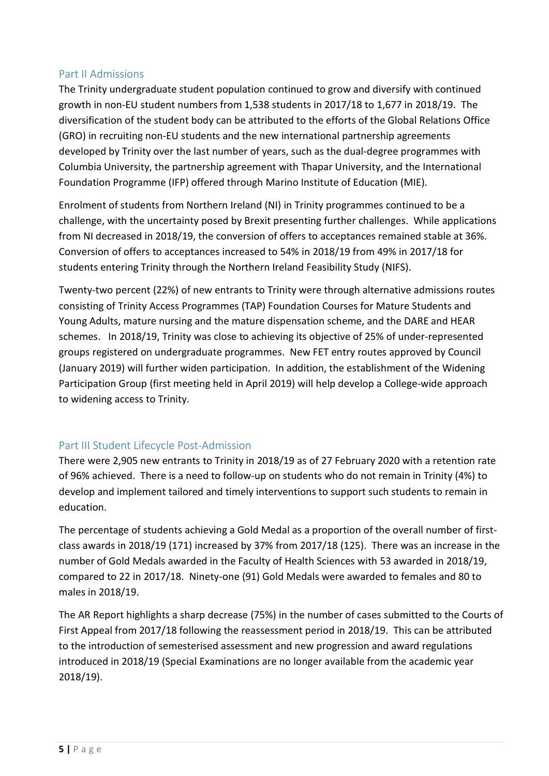#### <span id="page-4-0"></span>Part II Admissions

The Trinity undergraduate student population continued to grow and diversify with continued growth in non-EU student numbers from 1,538 students in 2017/18 to 1,677 in 2018/19. The diversification of the student body can be attributed to the efforts of the Global Relations Office (GRO) in recruiting non-EU students and the new international partnership agreements developed by Trinity over the last number of years, such as the dual-degree programmes with Columbia University, the partnership agreement with Thapar University, and the International Foundation Programme (IFP) offered through Marino Institute of Education (MIE).

Enrolment of students from Northern Ireland (NI) in Trinity programmes continued to be a challenge, with the uncertainty posed by Brexit presenting further challenges. While applications from NI decreased in 2018/19, the conversion of offers to acceptances remained stable at 36%. Conversion of offers to acceptances increased to 54% in 2018/19 from 49% in 2017/18 for students entering Trinity through the Northern Ireland Feasibility Study (NIFS).

Twenty-two percent (22%) of new entrants to Trinity were through alternative admissions routes consisting of Trinity Access Programmes (TAP) Foundation Courses for Mature Students and Young Adults, mature nursing and the mature dispensation scheme, and the DARE and HEAR schemes. In 2018/19, Trinity was close to achieving its objective of 25% of under-represented groups registered on undergraduate programmes. New FET entry routes approved by Council (January 2019) will further widen participation. In addition, the establishment of the Widening Participation Group (first meeting held in April 2019) will help develop a College-wide approach to widening access to Trinity.

#### <span id="page-4-1"></span>Part III Student Lifecycle Post-Admission

There were 2,905 new entrants to Trinity in 2018/19 as of 27 February 2020 with a retention rate of 96% achieved. There is a need to follow-up on students who do not remain in Trinity (4%) to develop and implement tailored and timely interventions to support such students to remain in education.

The percentage of students achieving a Gold Medal as a proportion of the overall number of firstclass awards in 2018/19 (171) increased by 37% from 2017/18 (125). There was an increase in the number of Gold Medals awarded in the Faculty of Health Sciences with 53 awarded in 2018/19, compared to 22 in 2017/18. Ninety-one (91) Gold Medals were awarded to females and 80 to males in 2018/19.

The AR Report highlights a sharp decrease (75%) in the number of cases submitted to the Courts of First Appeal from 2017/18 following the reassessment period in 2018/19. This can be attributed to the introduction of semesterised assessment and new progression and award regulations introduced in 2018/19 (Special Examinations are no longer available from the academic year 2018/19).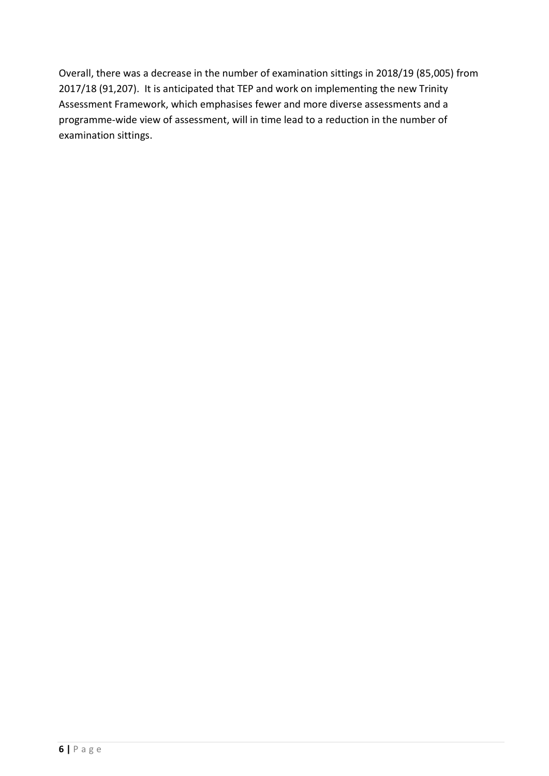Overall, there was a decrease in the number of examination sittings in 2018/19 (85,005) from 2017/18 (91,207). It is anticipated that TEP and work on implementing the new Trinity Assessment Framework, which emphasises fewer and more diverse assessments and a programme-wide view of assessment, will in time lead to a reduction in the number of examination sittings.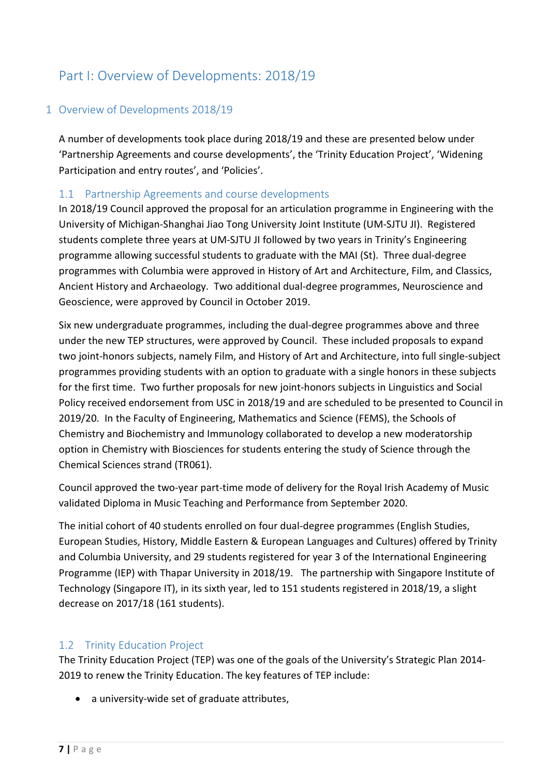### <span id="page-6-0"></span>Part I: Overview of Developments: 2018/19

#### <span id="page-6-1"></span>1 Overview of Developments 2018/19

A number of developments took place during 2018/19 and these are presented below under 'Partnership Agreements and course developments', the 'Trinity Education Project', 'Widening Participation and entry routes', and 'Policies'.

#### <span id="page-6-2"></span>1.1 Partnership Agreements and course developments

In 2018/19 Council approved the proposal for an articulation programme in Engineering with the University of Michigan-Shanghai Jiao Tong University Joint Institute (UM-SJTU JI). Registered students complete three years at UM-SJTU JI followed by two years in Trinity's Engineering programme allowing successful students to graduate with the MAI (St). Three dual-degree programmes with Columbia were approved in History of Art and Architecture, Film, and Classics, Ancient History and Archaeology. Two additional dual-degree programmes, Neuroscience and Geoscience, were approved by Council in October 2019.

Six new undergraduate programmes, including the dual-degree programmes above and three under the new TEP structures, were approved by Council. These included proposals to expand two joint-honors subjects, namely Film, and History of Art and Architecture, into full single-subject programmes providing students with an option to graduate with a single honors in these subjects for the first time. Two further proposals for new joint-honors subjects in Linguistics and Social Policy received endorsement from USC in 2018/19 and are scheduled to be presented to Council in 2019/20. In the Faculty of Engineering, Mathematics and Science (FEMS), the Schools of Chemistry and Biochemistry and Immunology collaborated to develop a new moderatorship option in Chemistry with Biosciences for students entering the study of Science through the Chemical Sciences strand (TR061).

Council approved the two-year part-time mode of delivery for the Royal Irish Academy of Music validated Diploma in Music Teaching and Performance from September 2020.

The initial cohort of 40 students enrolled on four dual-degree programmes (English Studies, European Studies, History, Middle Eastern & European Languages and Cultures) offered by Trinity and Columbia University, and 29 students registered for year 3 of the International Engineering Programme (IEP) with Thapar University in 2018/19. The partnership with Singapore Institute of Technology (Singapore IT), in its sixth year, led to 151 students registered in 2018/19, a slight decrease on 2017/18 (161 students).

#### <span id="page-6-3"></span>1.2 Trinity Education Project

The Trinity Education Project (TEP) was one of the goals of the University's Strategic Plan 2014- 2019 to renew the Trinity Education. The key features of TEP include:

• a university-wide set of graduate attributes,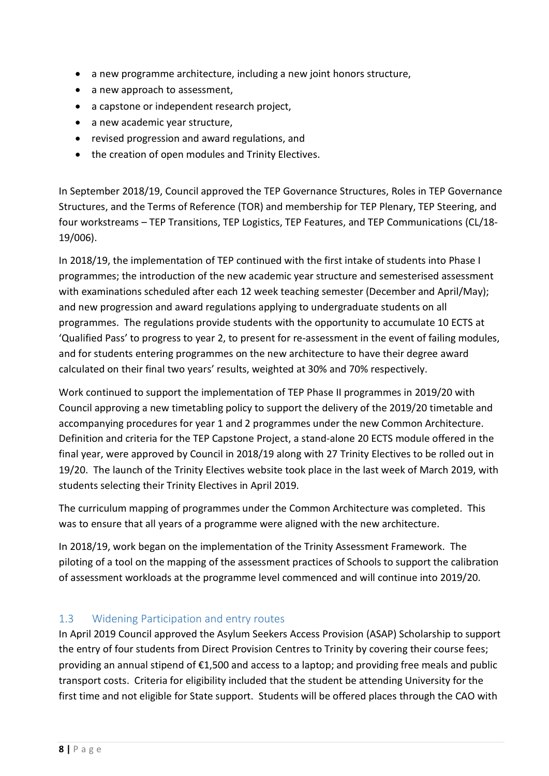- a new programme architecture, including a new joint honors structure,
- a new approach to assessment,
- a capstone or independent research project,
- a new academic year structure,
- revised progression and award regulations, and
- the creation of open modules and Trinity Electives.

In September 2018/19, Council approved the TEP Governance Structures, Roles in TEP Governance Structures, and the Terms of Reference (TOR) and membership for TEP Plenary, TEP Steering, and four workstreams – TEP Transitions, TEP Logistics, TEP Features, and TEP Communications (CL/18- 19/006).

In 2018/19, the implementation of TEP continued with the first intake of students into Phase I programmes; the introduction of the new academic year structure and semesterised assessment with examinations scheduled after each 12 week teaching semester (December and April/May); and new progression and award regulations applying to undergraduate students on all programmes. The regulations provide students with the opportunity to accumulate 10 ECTS at 'Qualified Pass' to progress to year 2, to present for re-assessment in the event of failing modules, and for students entering programmes on the new architecture to have their degree award calculated on their final two years' results, weighted at 30% and 70% respectively.

Work continued to support the implementation of TEP Phase II programmes in 2019/20 with Council approving a new timetabling policy to support the delivery of the 2019/20 timetable and accompanying procedures for year 1 and 2 programmes under the new Common Architecture. Definition and criteria for the TEP Capstone Project, a stand-alone 20 ECTS module offered in the final year, were approved by Council in 2018/19 along with 27 Trinity Electives to be rolled out in 19/20. The launch of the Trinity Electives website took place in the last week of March 2019, with students selecting their Trinity Electives in April 2019.

The curriculum mapping of programmes under the Common Architecture was completed. This was to ensure that all years of a programme were aligned with the new architecture.

In 2018/19, work began on the implementation of the Trinity Assessment Framework. The piloting of a tool on the mapping of the assessment practices of Schools to support the calibration of assessment workloads at the programme level commenced and will continue into 2019/20.

#### <span id="page-7-0"></span>1.3 Widening Participation and entry routes

In April 2019 Council approved the Asylum Seekers Access Provision (ASAP) Scholarship to support the entry of four students from Direct Provision Centres to Trinity by covering their course fees; providing an annual stipend of €1,500 and access to a laptop; and providing free meals and public transport costs. Criteria for eligibility included that the student be attending University for the first time and not eligible for State support. Students will be offered places through the CAO with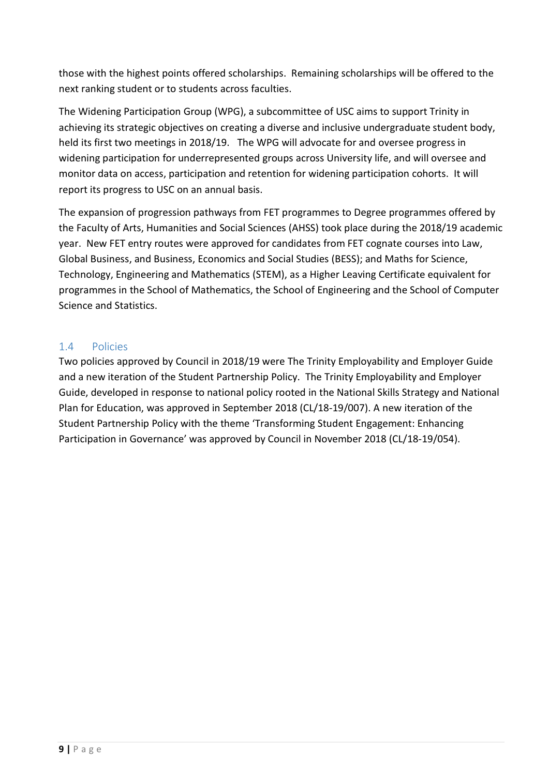those with the highest points offered scholarships. Remaining scholarships will be offered to the next ranking student or to students across faculties.

The Widening Participation Group (WPG), a subcommittee of USC aims to support Trinity in achieving its strategic objectives on creating a diverse and inclusive undergraduate student body, held its first two meetings in 2018/19. The WPG will advocate for and oversee progress in widening participation for underrepresented groups across University life, and will oversee and monitor data on access, participation and retention for widening participation cohorts. It will report its progress to USC on an annual basis.

The expansion of progression pathways from FET programmes to Degree programmes offered by the Faculty of Arts, Humanities and Social Sciences (AHSS) took place during the 2018/19 academic year. New FET entry routes were approved for candidates from FET cognate courses into Law, Global Business, and Business, Economics and Social Studies (BESS); and Maths for Science, Technology, Engineering and Mathematics (STEM), as a Higher Leaving Certificate equivalent for programmes in the School of Mathematics, the School of Engineering and the School of Computer Science and Statistics.

#### <span id="page-8-0"></span>1.4 Policies

Two policies approved by Council in 2018/19 were The Trinity Employability and Employer Guide and a new iteration of the Student Partnership Policy. The Trinity Employability and Employer Guide, developed in response to national policy rooted in the National Skills Strategy and National Plan for Education, was approved in September 2018 (CL/18-19/007). A new iteration of the Student Partnership Policy with the theme 'Transforming Student Engagement: Enhancing Participation in Governance' was approved by Council in November 2018 (CL/18-19/054).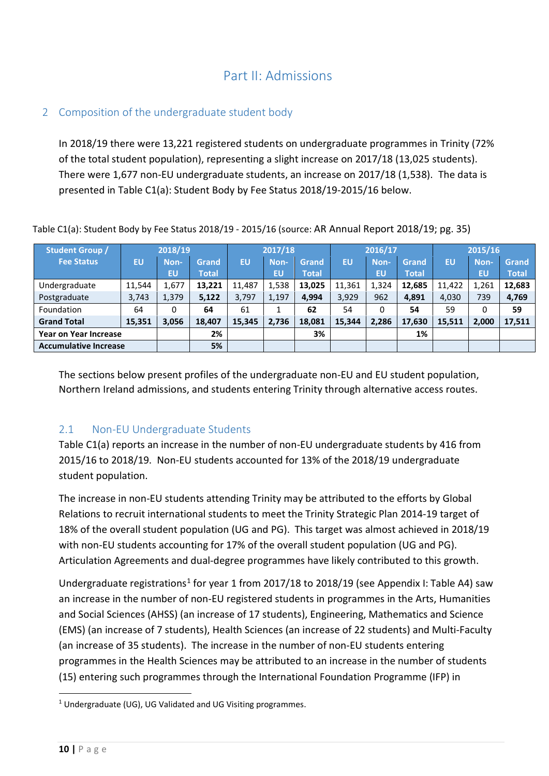### Part II: Admissions

### <span id="page-9-1"></span><span id="page-9-0"></span>2 Composition of the undergraduate student body

In 2018/19 there were 13,221 registered students on undergraduate programmes in Trinity (72% of the total student population), representing a slight increase on 2017/18 (13,025 students). There were 1,677 non-EU undergraduate students, an increase on 2017/18 (1,538). The data is presented in Table C1(a): Student Body by Fee Status 2018/19-2015/16 below.

| <b>Student Group /</b>       | 2018/19   |       | 2017/18      |        |       |        | 2016/17   |       | 2015/16      |        |       |              |
|------------------------------|-----------|-------|--------------|--------|-------|--------|-----------|-------|--------------|--------|-------|--------------|
| <b>Fee Status</b>            | <b>EU</b> | Non-  | Grand        | EU     | Non-  | Grand  | <b>EU</b> | Non-  | Grand        | EU     | Non-  | Grand        |
|                              |           | EU    | <b>Total</b> |        | EU    | Total  |           | EU    | <b>Total</b> |        | EU    | <b>Total</b> |
| Undergraduate                | 11,544    | 1,677 | 13,221       | 11.487 | 1,538 | 13,025 | 11,361    | 1,324 | 12,685       | 11,422 | 1,261 | 12,683       |
| Postgraduate                 | 3,743     | 1,379 | 5,122        | 3,797  | 1,197 | 4,994  | 3,929     | 962   | 4,891        | 4,030  | 739   | 4,769        |
| Foundation                   | 64        | 0     | 64           | 61     |       | 62     | 54        | 0     | 54           | 59     | 0     | 59           |
| <b>Grand Total</b>           | 15,351    | 3,056 | 18,407       | 15,345 | 2,736 | 18,081 | 15,344    | 2,286 | 17,630       | 15,511 | 2,000 | 17,511       |
| <b>Year on Year Increase</b> |           |       | 2%           |        |       | 3%     |           |       | 1%           |        |       |              |
| <b>Accumulative Increase</b> |           |       | 5%           |        |       |        |           |       |              |        |       |              |

Table C1(a): Student Body by Fee Status 2018/19 - 2015/16 (source: AR Annual Report 2018/19; pg. 35)

The sections below present profiles of the undergraduate non-EU and EU student population, Northern Ireland admissions, and students entering Trinity through alternative access routes.

#### <span id="page-9-2"></span>2.1 Non-EU Undergraduate Students

Table C1(a) reports an increase in the number of non-EU undergraduate students by 416 from 2015/16 to 2018/19. Non-EU students accounted for 13% of the 2018/19 undergraduate student population.

The increase in non-EU students attending Trinity may be attributed to the efforts by Global Relations to recruit international students to meet the Trinity Strategic Plan 2014-19 target of 18% of the overall student population (UG and PG). This target was almost achieved in 2018/19 with non-EU students accounting for 17% of the overall student population (UG and PG). Articulation Agreements and dual-degree programmes have likely contributed to this growth.

Undergraduate registrations<sup>[1](#page-9-3)</sup> for year 1 from 2017/18 to 2018/19 (see Appendix I: Table A4) saw an increase in the number of non-EU registered students in programmes in the Arts, Humanities and Social Sciences (AHSS) (an increase of 17 students), Engineering, Mathematics and Science (EMS) (an increase of 7 students), Health Sciences (an increase of 22 students) and Multi-Faculty (an increase of 35 students). The increase in the number of non-EU students entering programmes in the Health Sciences may be attributed to an increase in the number of students (15) entering such programmes through the International Foundation Programme (IFP) in

<span id="page-9-3"></span><sup>&</sup>lt;sup>1</sup> Undergraduate (UG), UG Validated and UG Visiting programmes.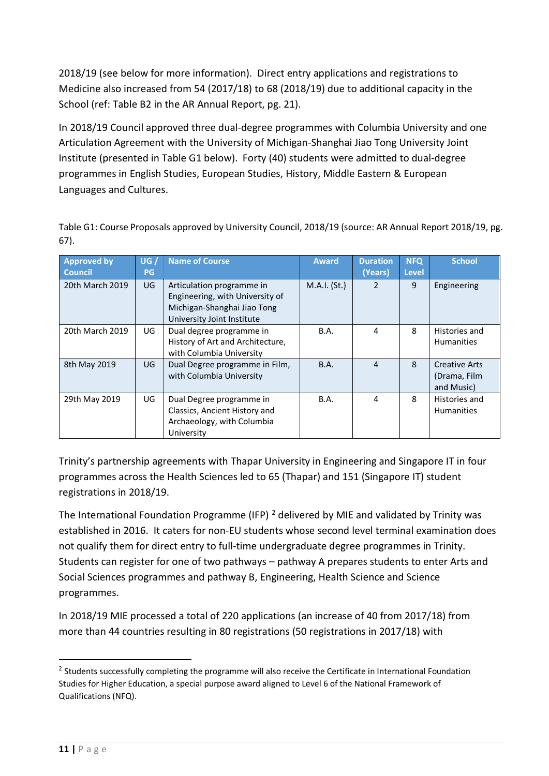2018/19 (see below for more information). Direct entry applications and registrations to Medicine also increased from 54 (2017/18) to 68 (2018/19) due to additional capacity in the School (ref: Table B2 in the AR Annual Report, pg. 21).

In 2018/19 Council approved three dual-degree programmes with Columbia University and one Articulation Agreement with the University of Michigan-Shanghai Jiao Tong University Joint Institute (presented in Table G1 below). Forty (40) students were admitted to dual-degree programmes in English Studies, European Studies, History, Middle Eastern & European Languages and Cultures.

Table G1: Course Proposals approved by University Council, 2018/19 (source: AR Annual Report 2018/19, pg. 67).

| <b>Approved by</b><br><b>Council</b> | UG/<br><b>PG</b> | <b>Name of Course</b>                                                                                                     | <b>Award</b> | <b>Duration</b><br>(Years) | <b>NFQ</b><br><b>Level</b> | <b>School</b>                                      |
|--------------------------------------|------------------|---------------------------------------------------------------------------------------------------------------------------|--------------|----------------------------|----------------------------|----------------------------------------------------|
| 20th March 2019                      | UG               | Articulation programme in<br>Engineering, with University of<br>Michigan-Shanghai Jiao Tong<br>University Joint Institute | M.A.I. (St.) | 2                          | 9                          | Engineering                                        |
| 20th March 2019                      | UG.              | Dual degree programme in<br>History of Art and Architecture,<br>with Columbia University                                  | <b>B.A.</b>  | 4                          | 8                          | Histories and<br><b>Humanities</b>                 |
| 8th May 2019                         | UG               | Dual Degree programme in Film,<br>with Columbia University                                                                | B.A.         | $\overline{4}$             | 8                          | <b>Creative Arts</b><br>(Drama, Film<br>and Music) |
| 29th May 2019                        | UG               | Dual Degree programme in<br>Classics, Ancient History and<br>Archaeology, with Columbia<br>University                     | B.A.         | 4                          | 8                          | Histories and<br><b>Humanities</b>                 |

Trinity's partnership agreements with Thapar University in Engineering and Singapore IT in four programmes across the Health Sciences led to 65 (Thapar) and 151 (Singapore IT) student registrations in 2018/19.

The International Foundation Programme (IFP)  $^2$  $^2$  delivered by MIE and validated by Trinity was established in 2016. It caters for non-EU students whose second level terminal examination does not qualify them for direct entry to full-time undergraduate degree programmes in Trinity. Students can register for one of two pathways – pathway A prepares students to enter Arts and Social Sciences programmes and pathway B, Engineering, Health Science and Science programmes.

In 2018/19 MIE processed a total of 220 applications (an increase of 40 from 2017/18) from more than 44 countries resulting in 80 registrations (50 registrations in 2017/18) with

<span id="page-10-0"></span> $<sup>2</sup>$  Students successfully completing the programme will also receive the Certificate in International Foundation</sup> Studies for Higher Education, a special purpose award aligned to Level 6 of the National Framework of Qualifications (NFQ).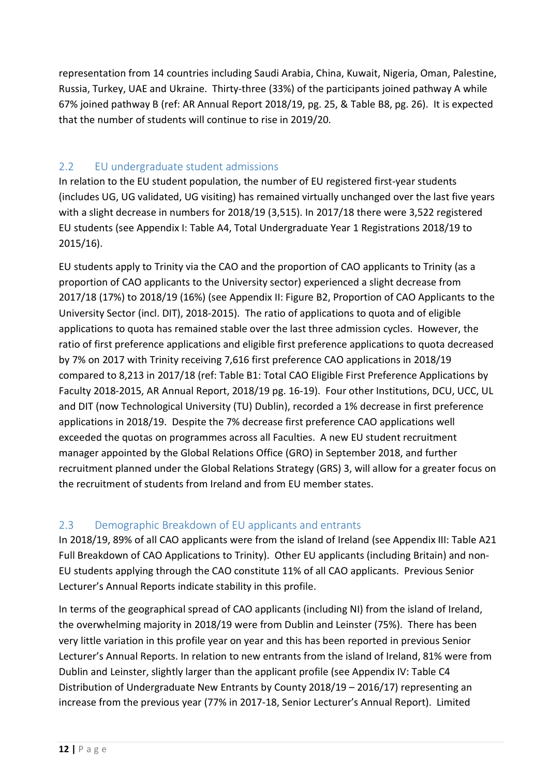representation from 14 countries including Saudi Arabia, China, Kuwait, Nigeria, Oman, Palestine, Russia, Turkey, UAE and Ukraine. Thirty-three (33%) of the participants joined pathway A while 67% joined pathway B (ref: AR Annual Report 2018/19, pg. 25, & Table B8, pg. 26). It is expected that the number of students will continue to rise in 2019/20.

### <span id="page-11-0"></span>2.2 EU undergraduate student admissions

In relation to the EU student population, the number of EU registered first-year students (includes UG, UG validated, UG visiting) has remained virtually unchanged over the last five years with a slight decrease in numbers for 2018/19 (3,515). In 2017/18 there were 3,522 registered EU students (see Appendix I: Table A4, Total Undergraduate Year 1 Registrations 2018/19 to 2015/16).

EU students apply to Trinity via the CAO and the proportion of CAO applicants to Trinity (as a proportion of CAO applicants to the University sector) experienced a slight decrease from 2017/18 (17%) to 2018/19 (16%) (see Appendix II: Figure B2, Proportion of CAO Applicants to the University Sector (incl. DIT), 2018-2015). The ratio of applications to quota and of eligible applications to quota has remained stable over the last three admission cycles. However, the ratio of first preference applications and eligible first preference applications to quota decreased by 7% on 2017 with Trinity receiving 7,616 first preference CAO applications in 2018/19 compared to 8,213 in 2017/18 (ref: Table B1: Total CAO Eligible First Preference Applications by Faculty 2018-2015, AR Annual Report, 2018/19 pg. 16-19). Four other Institutions, DCU, UCC, UL and DIT (now Technological University (TU) Dublin), recorded a 1% decrease in first preference applications in 2018/19. Despite the 7% decrease first preference CAO applications well exceeded the quotas on programmes across all Faculties. A new EU student recruitment manager appointed by the Global Relations Office (GRO) in September 2018, and further recruitment planned under the Global Relations Strategy (GRS) 3, will allow for a greater focus on the recruitment of students from Ireland and from EU member states.

### <span id="page-11-1"></span>2.3 Demographic Breakdown of EU applicants and entrants

In 2018/19, 89% of all CAO applicants were from the island of Ireland (see Appendix III: Table A21 Full Breakdown of CAO Applications to Trinity). Other EU applicants (including Britain) and non-EU students applying through the CAO constitute 11% of all CAO applicants. Previous Senior Lecturer's Annual Reports indicate stability in this profile.

In terms of the geographical spread of CAO applicants (including NI) from the island of Ireland, the overwhelming majority in 2018/19 were from Dublin and Leinster (75%). There has been very little variation in this profile year on year and this has been reported in previous Senior Lecturer's Annual Reports. In relation to new entrants from the island of Ireland, 81% were from Dublin and Leinster, slightly larger than the applicant profile (see Appendix IV: Table C4 Distribution of Undergraduate New Entrants by County 2018/19 – 2016/17) representing an increase from the previous year (77% in 2017-18, Senior Lecturer's Annual Report). Limited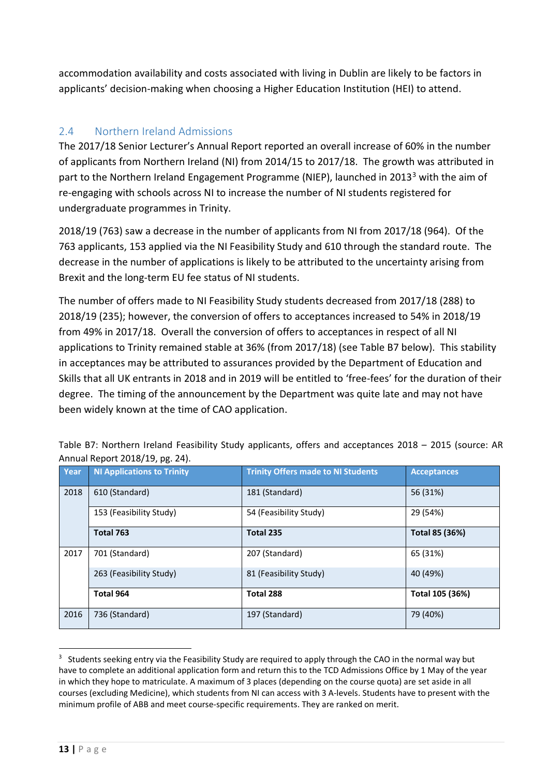accommodation availability and costs associated with living in Dublin are likely to be factors in applicants' decision-making when choosing a Higher Education Institution (HEI) to attend.

### <span id="page-12-0"></span>2.4 Northern Ireland Admissions

The 2017/18 Senior Lecturer's Annual Report reported an overall increase of 60% in the number of applicants from Northern Ireland (NI) from 2014/15 to 2017/18. The growth was attributed in part to the Northern Ireland Engagement Programme (NIEP), launched in 201[3](#page-12-1)<sup>3</sup> with the aim of re-engaging with schools across NI to increase the number of NI students registered for undergraduate programmes in Trinity.

2018/19 (763) saw a decrease in the number of applicants from NI from 2017/18 (964). Of the 763 applicants, 153 applied via the NI Feasibility Study and 610 through the standard route. The decrease in the number of applications is likely to be attributed to the uncertainty arising from Brexit and the long-term EU fee status of NI students.

The number of offers made to NI Feasibility Study students decreased from 2017/18 (288) to 2018/19 (235); however, the conversion of offers to acceptances increased to 54% in 2018/19 from 49% in 2017/18. Overall the conversion of offers to acceptances in respect of all NI applications to Trinity remained stable at 36% (from 2017/18) (see Table B7 below). This stability in acceptances may be attributed to assurances provided by the Department of Education and Skills that all UK entrants in 2018 and in 2019 will be entitled to 'free-fees' for the duration of their degree. The timing of the announcement by the Department was quite late and may not have been widely known at the time of CAO application.

| Year | <b>NI Applications to Trinity</b> | <b>Trinity Offers made to NI Students</b> | <b>Acceptances</b> |  |
|------|-----------------------------------|-------------------------------------------|--------------------|--|
| 2018 | 610 (Standard)                    | 181 (Standard)                            | 56 (31%)           |  |
|      | 153 (Feasibility Study)           | 54 (Feasibility Study)                    | 29 (54%)           |  |
|      | Total 763                         | Total 235                                 | Total 85 (36%)     |  |
| 2017 | 701 (Standard)                    | 207 (Standard)                            | 65 (31%)           |  |
|      | 263 (Feasibility Study)           | 81 (Feasibility Study)                    | 40 (49%)           |  |
|      | Total 964                         | Total 288                                 | Total 105 (36%)    |  |
| 2016 | 736 (Standard)                    | 197 (Standard)                            | 79 (40%)           |  |

Table B7: Northern Ireland Feasibility Study applicants, offers and acceptances 2018 – 2015 (source: AR Annual Report 2018/19, pg. 24).

<span id="page-12-1"></span><sup>&</sup>lt;sup>3</sup> Students seeking entry via the Feasibility Study are required to apply through the CAO in the normal way but have to complete an additional application form and return this to the TCD Admissions Office by 1 May of the year in which they hope to matriculate. A maximum of 3 places (depending on the course quota) are set aside in all courses (excluding Medicine), which students from NI can access with 3 A-levels. Students have to present with the minimum profile of ABB and meet course-specific requirements. They are ranked on merit.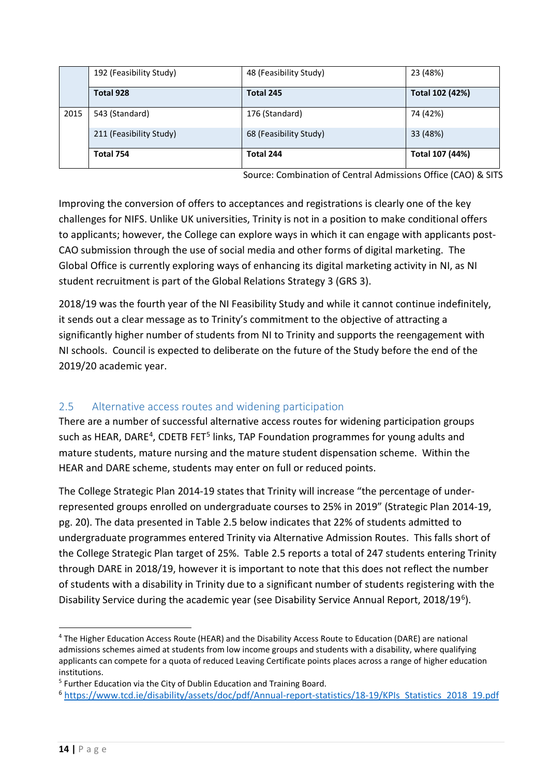|      | 192 (Feasibility Study) | 48 (Feasibility Study) | 23 (48%)        |
|------|-------------------------|------------------------|-----------------|
|      | Total 928               | Total 245              | Total 102 (42%) |
| 2015 | 543 (Standard)          | 176 (Standard)         | 74 (42%)        |
|      | 211 (Feasibility Study) | 68 (Feasibility Study) | 33 (48%)        |
|      | Total 754               | Total 244              | Total 107 (44%) |

Source: Combination of Central Admissions Office (CAO) & SITS

Improving the conversion of offers to acceptances and registrations is clearly one of the key challenges for NIFS. Unlike UK universities, Trinity is not in a position to make conditional offers to applicants; however, the College can explore ways in which it can engage with applicants post-CAO submission through the use of social media and other forms of digital marketing. The Global Office is currently exploring ways of enhancing its digital marketing activity in NI, as NI student recruitment is part of the Global Relations Strategy 3 (GRS 3).

2018/19 was the fourth year of the NI Feasibility Study and while it cannot continue indefinitely, it sends out a clear message as to Trinity's commitment to the objective of attracting a significantly higher number of students from NI to Trinity and supports the reengagement with NI schools. Council is expected to deliberate on the future of the Study before the end of the 2019/20 academic year.

#### <span id="page-13-0"></span>2.5 Alternative access routes and widening participation

There are a number of successful alternative access routes for widening participation groups such as HEAR, DARE<sup>4</sup>, CDETB FET<sup>[5](#page-13-2)</sup> links, TAP Foundation programmes for young adults and mature students, mature nursing and the mature student dispensation scheme. Within the HEAR and DARE scheme, students may enter on full or reduced points.

The College Strategic Plan 2014-19 states that Trinity will increase "the percentage of underrepresented groups enrolled on undergraduate courses to 25% in 2019" (Strategic Plan 2014-19, pg. 20). The data presented in Table 2.5 below indicates that 22% of students admitted to undergraduate programmes entered Trinity via Alternative Admission Routes. This falls short of the College Strategic Plan target of 25%. Table 2.5 reports a total of 247 students entering Trinity through DARE in 2018/19, however it is important to note that this does not reflect the number of students with a disability in Trinity due to a significant number of students registering with the Disability Service during the academic year (see Disability Service Annual Report, 2018/19<sup>[6](#page-13-3)</sup>).

<span id="page-13-1"></span><sup>4</sup> The Higher Education Access Route (HEAR) and the Disability Access Route to Education (DARE) are national admissions schemes aimed at students from low income groups and students with a disability, where qualifying applicants can compete for a quota of reduced Leaving Certificate points places across a range of higher education institutions.

<span id="page-13-2"></span><sup>5</sup> Further Education via the City of Dublin Education and Training Board.

<span id="page-13-3"></span><sup>&</sup>lt;sup>6</sup> [https://www.tcd.ie/disability/assets/doc/pdf/Annual-report-statistics/18-19/KPIs\\_Statistics\\_2018\\_19.pdf](https://www.tcd.ie/disability/assets/doc/pdf/Annual-report-statistics/18-19/KPIs_Statistics_2018_19.pdf)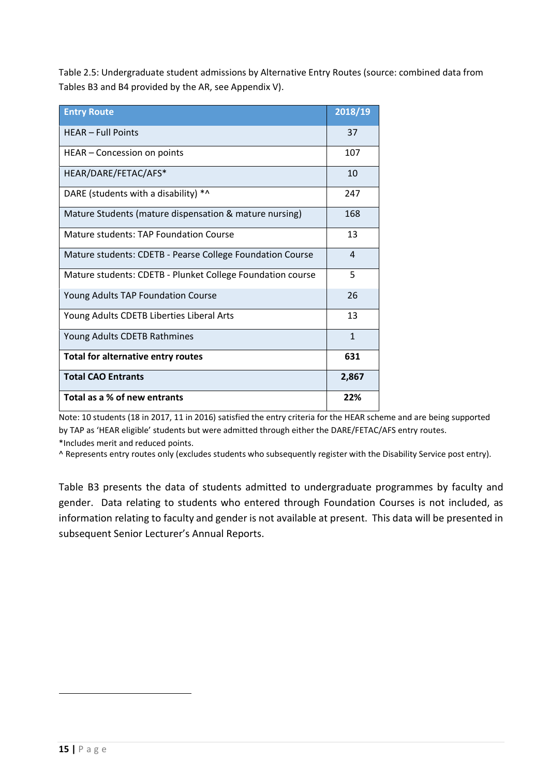Table 2.5: Undergraduate student admissions by Alternative Entry Routes (source: combined data from Tables B3 and B4 provided by the AR, see Appendix V).

| <b>Entry Route</b>                                         | 2018/19        |
|------------------------------------------------------------|----------------|
| <b>HEAR - Full Points</b>                                  | 37             |
| HEAR - Concession on points                                | 107            |
| HEAR/DARE/FETAC/AFS*                                       | 10             |
| DARE (students with a disability) *^                       | 247            |
| Mature Students (mature dispensation & mature nursing)     | 168            |
| Mature students: TAP Foundation Course                     | 13             |
| Mature students: CDETB - Pearse College Foundation Course  | $\overline{4}$ |
| Mature students: CDETB - Plunket College Foundation course | 5              |
| Young Adults TAP Foundation Course                         | 26             |
| Young Adults CDETB Liberties Liberal Arts                  | 13             |
| Young Adults CDETB Rathmines                               | $\mathbf{1}$   |
| Total for alternative entry routes                         | 631            |
| <b>Total CAO Entrants</b>                                  | 2,867          |
| Total as a % of new entrants                               | 22%            |

Note: 10 students (18 in 2017, 11 in 2016) satisfied the entry criteria for the HEAR scheme and are being supported by TAP as 'HEAR eligible' students but were admitted through either the DARE/FETAC/AFS entry routes. \*Includes merit and reduced points.

^ Represents entry routes only (excludes students who subsequently register with the Disability Service post entry).

Table B3 presents the data of students admitted to undergraduate programmes by faculty and gender. Data relating to students who entered through Foundation Courses is not included, as information relating to faculty and gender is not available at present. This data will be presented in subsequent Senior Lecturer's Annual Reports.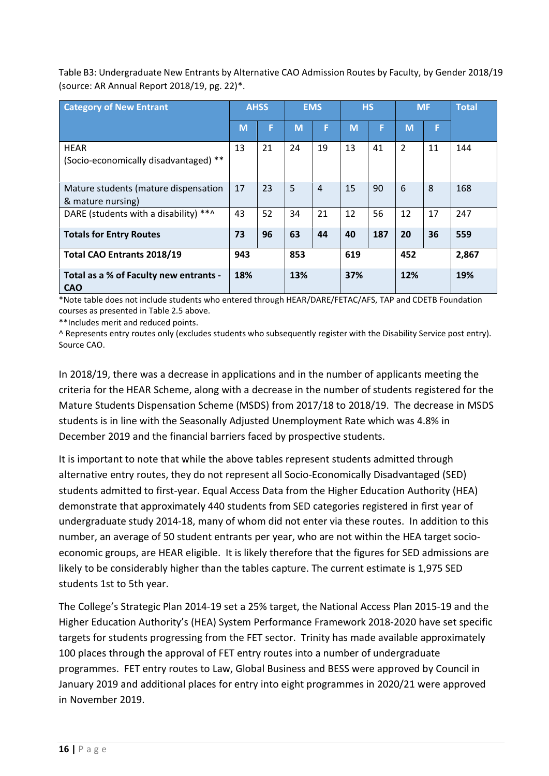Table B3: Undergraduate New Entrants by Alternative CAO Admission Routes by Faculty, by Gender 2018/19 (source: AR Annual Report 2018/19, pg. 22)\*.

| <b>Category of New Entrant</b>                            |     | <b>AHSS</b> |     | <b>EMS</b>     |     | <b>HS</b> |     | <b>MF</b> | <b>Total</b> |
|-----------------------------------------------------------|-----|-------------|-----|----------------|-----|-----------|-----|-----------|--------------|
|                                                           | M   | F           | M   | F              | M   | F         | M   | F         |              |
| <b>HEAR</b><br>(Socio-economically disadvantaged) **      | 13  | 21          | 24  | 19             | 13  | 41        | 2   | 11        | 144          |
| Mature students (mature dispensation<br>& mature nursing) | 17  | 23          | 5   | $\overline{4}$ | 15  | 90        | 6   | 8         | 168          |
| DARE (students with a disability) **^                     | 43  | 52          | 34  | 21             | 12  | 56        | 12  | 17        | 247          |
| <b>Totals for Entry Routes</b>                            | 73  | 96          | 63  | 44             | 40  | 187       | 20  | 36        | 559          |
| <b>Total CAO Entrants 2018/19</b>                         | 943 |             | 853 |                | 619 |           | 452 |           | 2,867        |
| Total as a % of Faculty new entrants -<br><b>CAO</b>      | 18% |             | 13% |                | 37% |           | 12% |           | 19%          |

\*Note table does not include students who entered through HEAR/DARE/FETAC/AFS, TAP and CDETB Foundation courses as presented in Table 2.5 above.

\*\*Includes merit and reduced points.

^ Represents entry routes only (excludes students who subsequently register with the Disability Service post entry). Source CAO.

In 2018/19, there was a decrease in applications and in the number of applicants meeting the criteria for the HEAR Scheme, along with a decrease in the number of students registered for the Mature Students Dispensation Scheme (MSDS) from 2017/18 to 2018/19. The decrease in MSDS students is in line with the Seasonally Adjusted Unemployment Rate which was 4.8% in December 2019 and the financial barriers faced by prospective students.

It is important to note that while the above tables represent students admitted through alternative entry routes, they do not represent all Socio-Economically Disadvantaged (SED) students admitted to first-year. Equal Access Data from the Higher Education Authority (HEA) demonstrate that approximately 440 students from SED categories registered in first year of undergraduate study 2014-18, many of whom did not enter via these routes. In addition to this number, an average of 50 student entrants per year, who are not within the HEA target socioeconomic groups, are HEAR eligible. It is likely therefore that the figures for SED admissions are likely to be considerably higher than the tables capture. The current estimate is 1,975 SED students 1st to 5th year.

The College's Strategic Plan 2014-19 set a 25% target, the National Access Plan 2015-19 and the Higher Education Authority's (HEA) System Performance Framework 2018-2020 have set specific targets for students progressing from the FET sector. Trinity has made available approximately 100 places through the approval of FET entry routes into a number of undergraduate programmes. FET entry routes to Law, Global Business and BESS were approved by Council in January 2019 and additional places for entry into eight programmes in 2020/21 were approved in November 2019.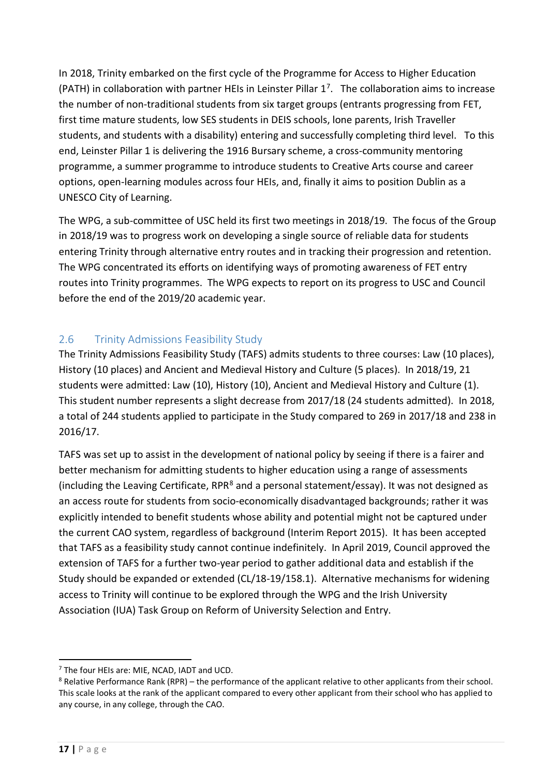In 2018, Trinity embarked on the first cycle of the Programme for Access to Higher Education (PATH) in collaboration with partner HEIs in Leinster Pillar  $1^7$  $1^7$ . The collaboration aims to increase the number of non-traditional students from six target groups (entrants progressing from FET, first time mature students, low SES students in DEIS schools, lone parents, Irish Traveller students, and students with a disability) entering and successfully completing third level. To this end, Leinster Pillar 1 is delivering the 1916 Bursary scheme, a cross-community mentoring programme, a summer programme to introduce students to Creative Arts course and career options, open-learning modules across four HEIs, and, finally it aims to position Dublin as a UNESCO City of Learning.

The WPG, a sub-committee of USC held its first two meetings in 2018/19. The focus of the Group in 2018/19 was to progress work on developing a single source of reliable data for students entering Trinity through alternative entry routes and in tracking their progression and retention. The WPG concentrated its efforts on identifying ways of promoting awareness of FET entry routes into Trinity programmes. The WPG expects to report on its progress to USC and Council before the end of the 2019/20 academic year.

### <span id="page-16-0"></span>2.6 Trinity Admissions Feasibility Study

The Trinity Admissions Feasibility Study (TAFS) admits students to three courses: Law (10 places), History (10 places) and Ancient and Medieval History and Culture (5 places). In 2018/19, 21 students were admitted: Law (10), History (10), Ancient and Medieval History and Culture (1). This student number represents a slight decrease from 2017/18 (24 students admitted). In 2018, a total of 244 students applied to participate in the Study compared to 269 in 2017/18 and 238 in 2016/17.

TAFS was set up to assist in the development of national policy by seeing if there is a fairer and better mechanism for admitting students to higher education using a range of assessments (including the Leaving Certificate, RPR<sup>[8](#page-16-2)</sup> and a personal statement/essay). It was not designed as an access route for students from socio-economically disadvantaged backgrounds; rather it was explicitly intended to benefit students whose ability and potential might not be captured under the current CAO system, regardless of background (Interim Report 2015). It has been accepted that TAFS as a feasibility study cannot continue indefinitely. In April 2019, Council approved the extension of TAFS for a further two-year period to gather additional data and establish if the Study should be expanded or extended (CL/18-19/158.1). Alternative mechanisms for widening access to Trinity will continue to be explored through the WPG and the Irish University Association (IUA) Task Group on Reform of University Selection and Entry.

<span id="page-16-1"></span><sup>7</sup> The four HEIs are: MIE, NCAD, IADT and UCD.

<span id="page-16-2"></span><sup>&</sup>lt;sup>8</sup> Relative Performance Rank (RPR) – the performance of the applicant relative to other applicants from their school. This scale looks at the rank of the applicant compared to every other applicant from their school who has applied to any course, in any college, through the CAO.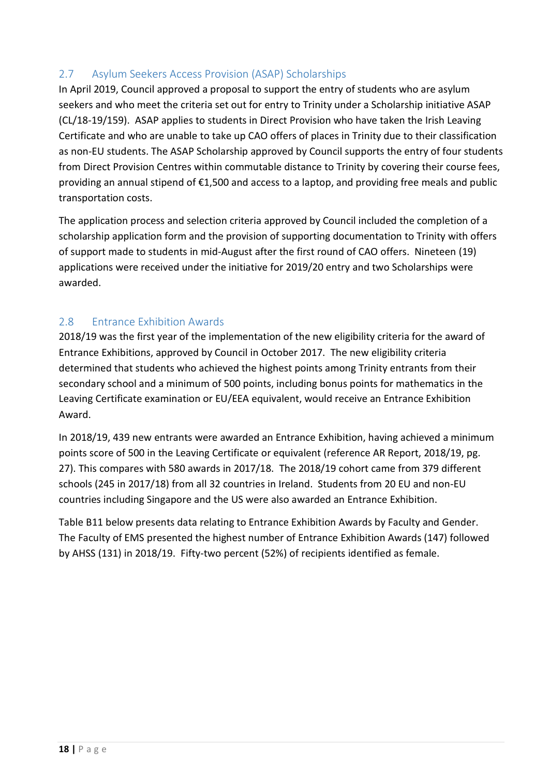### <span id="page-17-0"></span>2.7 Asylum Seekers Access Provision (ASAP) Scholarships

In April 2019, Council approved a proposal to support the entry of students who are asylum seekers and who meet the criteria set out for entry to Trinity under a Scholarship initiative ASAP (CL/18-19/159). ASAP applies to students in Direct Provision who have taken the Irish Leaving Certificate and who are unable to take up CAO offers of places in Trinity due to their classification as non-EU students. The ASAP Scholarship approved by Council supports the entry of four students from Direct Provision Centres within commutable distance to Trinity by covering their course fees, providing an annual stipend of €1,500 and access to a laptop, and providing free meals and public transportation costs.

The application process and selection criteria approved by Council included the completion of a scholarship application form and the provision of supporting documentation to Trinity with offers of support made to students in mid-August after the first round of CAO offers. Nineteen (19) applications were received under the initiative for 2019/20 entry and two Scholarships were awarded.

### <span id="page-17-1"></span>2.8 Entrance Exhibition Awards

2018/19 was the first year of the implementation of the new eligibility criteria for the award of Entrance Exhibitions, approved by Council in October 2017. The new eligibility criteria determined that students who achieved the highest points among Trinity entrants from their secondary school and a minimum of 500 points, including bonus points for mathematics in the Leaving Certificate examination or EU/EEA equivalent, would receive an Entrance Exhibition Award.

In 2018/19, 439 new entrants were awarded an Entrance Exhibition, having achieved a minimum points score of 500 in the Leaving Certificate or equivalent (reference AR Report, 2018/19, pg. 27). This compares with 580 awards in 2017/18. The 2018/19 cohort came from 379 different schools (245 in 2017/18) from all 32 countries in Ireland. Students from 20 EU and non-EU countries including Singapore and the US were also awarded an Entrance Exhibition.

Table B11 below presents data relating to Entrance Exhibition Awards by Faculty and Gender. The Faculty of EMS presented the highest number of Entrance Exhibition Awards (147) followed by AHSS (131) in 2018/19. Fifty-two percent (52%) of recipients identified as female.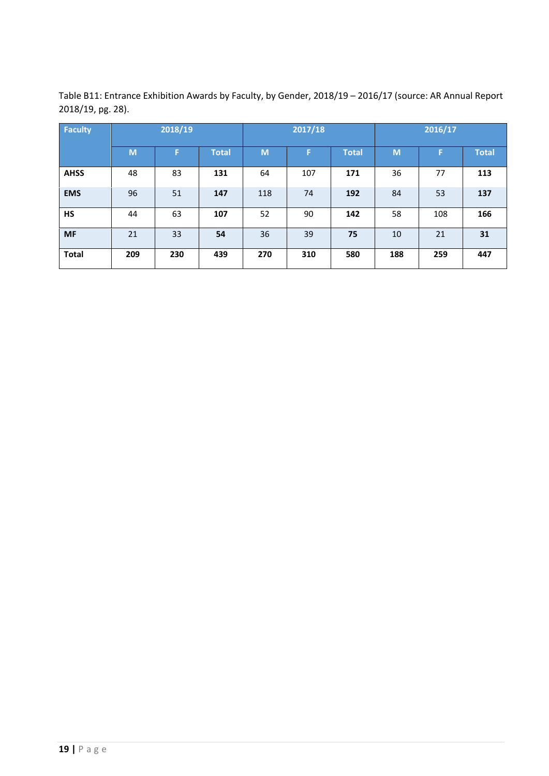| <b>Faculty</b> | 2018/19 |     |              |     | 2017/18 |              | 2016/17 |     |              |  |
|----------------|---------|-----|--------------|-----|---------|--------------|---------|-----|--------------|--|
|                | M       | F   | <b>Total</b> | M   | F       | <b>Total</b> | M       | F   | <b>Total</b> |  |
| <b>AHSS</b>    | 48      | 83  | 131          | 64  | 107     | 171          | 36      | 77  | 113          |  |
| <b>EMS</b>     | 96      | 51  | 147          | 118 | 74      | 192          | 84      | 53  | 137          |  |
| <b>HS</b>      | 44      | 63  | 107          | 52  | 90      | 142          | 58      | 108 | 166          |  |
| <b>MF</b>      | 21      | 33  | 54           | 36  | 39      | 75           | 10      | 21  | 31           |  |
| <b>Total</b>   | 209     | 230 | 439          | 270 | 310     | 580          | 188     | 259 | 447          |  |

Table B11: Entrance Exhibition Awards by Faculty, by Gender, 2018/19 – 2016/17 (source: AR Annual Report 2018/19, pg. 28).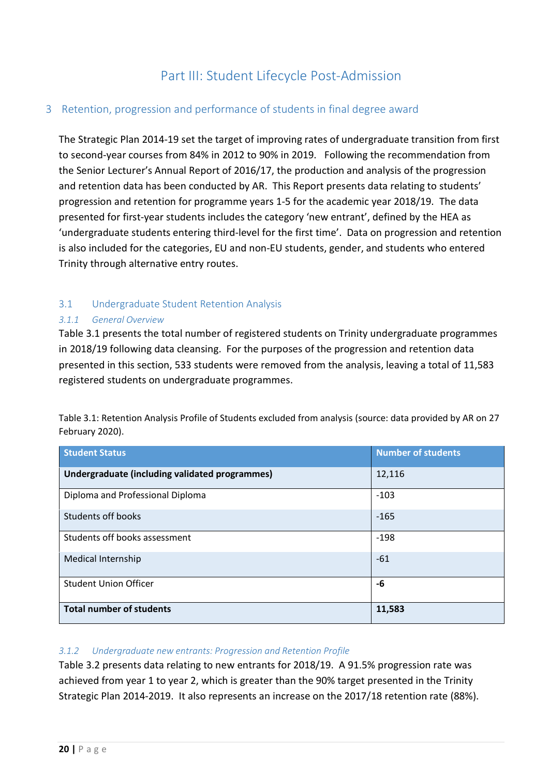### Part III: Student Lifecycle Post-Admission

#### <span id="page-19-1"></span><span id="page-19-0"></span>3 Retention, progression and performance of students in final degree award

The Strategic Plan 2014-19 set the target of improving rates of undergraduate transition from first to second-year courses from 84% in 2012 to 90% in 2019. Following the recommendation from the Senior Lecturer's Annual Report of 2016/17, the production and analysis of the progression and retention data has been conducted by AR. This Report presents data relating to students' progression and retention for programme years 1-5 for the academic year 2018/19. The data presented for first-year students includes the category 'new entrant', defined by the HEA as 'undergraduate students entering third-level for the first time'. Data on progression and retention is also included for the categories, EU and non-EU students, gender, and students who entered Trinity through alternative entry routes.

#### <span id="page-19-2"></span>3.1 Undergraduate Student Retention Analysis

#### *3.1.1 General Overview*

Table 3.1 presents the total number of registered students on Trinity undergraduate programmes in 2018/19 following data cleansing. For the purposes of the progression and retention data presented in this section, 533 students were removed from the analysis, leaving a total of 11,583 registered students on undergraduate programmes.

Table 3.1: Retention Analysis Profile of Students excluded from analysis (source: data provided by AR on 27 February 2020).

| <b>Student Status</b>                          | <b>Number of students</b> |
|------------------------------------------------|---------------------------|
| Undergraduate (including validated programmes) | 12,116                    |
| Diploma and Professional Diploma               | $-103$                    |
| Students off books                             | $-165$                    |
| Students off books assessment                  | $-198$                    |
| <b>Medical Internship</b>                      | $-61$                     |
| <b>Student Union Officer</b>                   | -6                        |
| <b>Total number of students</b>                | 11,583                    |

#### *3.1.2 Undergraduate new entrants: Progression and Retention Profile*

Table 3.2 presents data relating to new entrants for 2018/19. A 91.5% progression rate was achieved from year 1 to year 2, which is greater than the 90% target presented in the Trinity Strategic Plan 2014-2019. It also represents an increase on the 2017/18 retention rate (88%).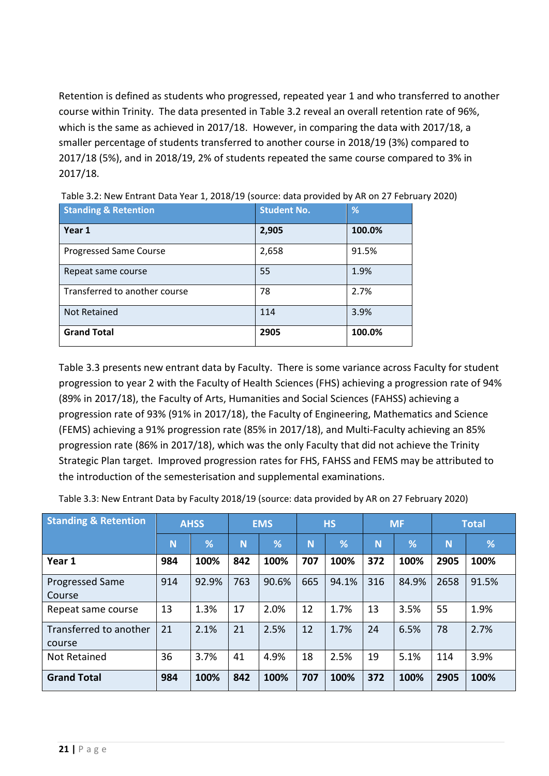Retention is defined as students who progressed, repeated year 1 and who transferred to another course within Trinity. The data presented in Table 3.2 reveal an overall retention rate of 96%, which is the same as achieved in 2017/18. However, in comparing the data with 2017/18, a smaller percentage of students transferred to another course in 2018/19 (3%) compared to 2017/18 (5%), and in 2018/19, 2% of students repeated the same course compared to 3% in 2017/18.

| <b>Standing &amp; Retention</b> | <b>Student No.</b> | %      |
|---------------------------------|--------------------|--------|
| Year 1                          | 2,905              | 100.0% |
| <b>Progressed Same Course</b>   | 2,658              | 91.5%  |
| Repeat same course              | 55                 | 1.9%   |
| Transferred to another course   | 78                 | 2.7%   |
| Not Retained                    | 114                | 3.9%   |
| <b>Grand Total</b>              | 2905               | 100.0% |

Table 3.2: New Entrant Data Year 1, 2018/19 (source: data provided by AR on 27 February 2020)

Table 3.3 presents new entrant data by Faculty. There is some variance across Faculty for student progression to year 2 with the Faculty of Health Sciences (FHS) achieving a progression rate of 94% (89% in 2017/18), the Faculty of Arts, Humanities and Social Sciences (FAHSS) achieving a progression rate of 93% (91% in 2017/18), the Faculty of Engineering, Mathematics and Science (FEMS) achieving a 91% progression rate (85% in 2017/18), and Multi-Faculty achieving an 85% progression rate (86% in 2017/18), which was the only Faculty that did not achieve the Trinity Strategic Plan target. Improved progression rates for FHS, FAHSS and FEMS may be attributed to the introduction of the semesterisation and supplemental examinations.

Table 3.3: New Entrant Data by Faculty 2018/19 (source: data provided by AR on 27 February 2020)

| <b>Standing &amp; Retention</b>  |     | <b>AHSS</b> |     | <b>EMS</b> | <b>HS</b> |       | <b>MF</b> |       | <b>Total</b> |       |
|----------------------------------|-----|-------------|-----|------------|-----------|-------|-----------|-------|--------------|-------|
|                                  | N   | %           | N   | %          | Ñ         | %     | N         | %     | <b>N</b>     | %     |
| Year 1                           | 984 | 100%        | 842 | 100%       | 707       | 100%  | 372       | 100%  | 2905         | 100%  |
| <b>Progressed Same</b><br>Course | 914 | 92.9%       | 763 | 90.6%      | 665       | 94.1% | 316       | 84.9% | 2658         | 91.5% |
| Repeat same course               | 13  | 1.3%        | 17  | 2.0%       | 12        | 1.7%  | 13        | 3.5%  | 55           | 1.9%  |
| Transferred to another<br>course | 21  | 2.1%        | 21  | 2.5%       | 12        | 1.7%  | 24        | 6.5%  | 78           | 2.7%  |
| <b>Not Retained</b>              | 36  | 3.7%        | 41  | 4.9%       | 18        | 2.5%  | 19        | 5.1%  | 114          | 3.9%  |
| <b>Grand Total</b>               | 984 | 100%        | 842 | 100%       | 707       | 100%  | 372       | 100%  | 2905         | 100%  |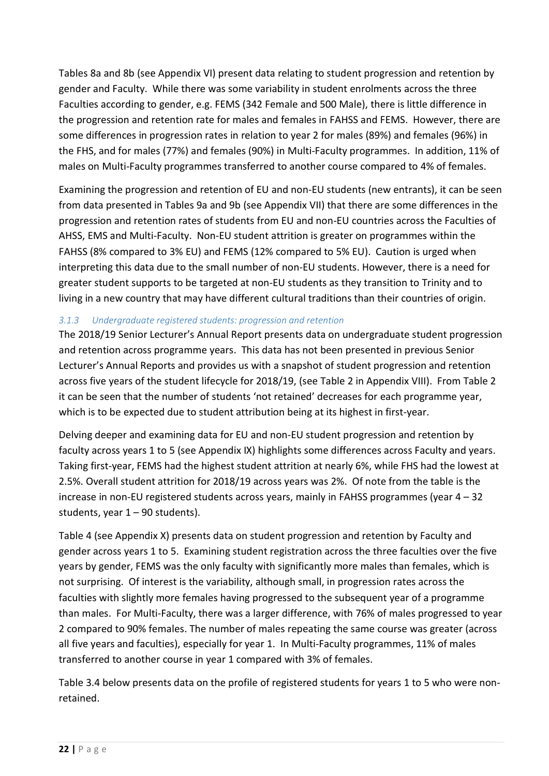Tables 8a and 8b (see Appendix VI) present data relating to student progression and retention by gender and Faculty. While there was some variability in student enrolments across the three Faculties according to gender, e.g. FEMS (342 Female and 500 Male), there is little difference in the progression and retention rate for males and females in FAHSS and FEMS. However, there are some differences in progression rates in relation to year 2 for males (89%) and females (96%) in the FHS, and for males (77%) and females (90%) in Multi-Faculty programmes. In addition, 11% of males on Multi-Faculty programmes transferred to another course compared to 4% of females.

Examining the progression and retention of EU and non-EU students (new entrants), it can be seen from data presented in Tables 9a and 9b (see Appendix VII) that there are some differences in the progression and retention rates of students from EU and non-EU countries across the Faculties of AHSS, EMS and Multi-Faculty. Non-EU student attrition is greater on programmes within the FAHSS (8% compared to 3% EU) and FEMS (12% compared to 5% EU). Caution is urged when interpreting this data due to the small number of non-EU students. However, there is a need for greater student supports to be targeted at non-EU students as they transition to Trinity and to living in a new country that may have different cultural traditions than their countries of origin.

#### *3.1.3 Undergraduate registered students: progression and retention*

The 2018/19 Senior Lecturer's Annual Report presents data on undergraduate student progression and retention across programme years. This data has not been presented in previous Senior Lecturer's Annual Reports and provides us with a snapshot of student progression and retention across five years of the student lifecycle for 2018/19, (see Table 2 in Appendix VIII). From Table 2 it can be seen that the number of students 'not retained' decreases for each programme year, which is to be expected due to student attribution being at its highest in first-year.

Delving deeper and examining data for EU and non-EU student progression and retention by faculty across years 1 to 5 (see Appendix IX) highlights some differences across Faculty and years. Taking first-year, FEMS had the highest student attrition at nearly 6%, while FHS had the lowest at 2.5%. Overall student attrition for 2018/19 across years was 2%. Of note from the table is the increase in non-EU registered students across years, mainly in FAHSS programmes (year 4 – 32 students, year  $1 - 90$  students).

Table 4 (see Appendix X) presents data on student progression and retention by Faculty and gender across years 1 to 5. Examining student registration across the three faculties over the five years by gender, FEMS was the only faculty with significantly more males than females, which is not surprising. Of interest is the variability, although small, in progression rates across the faculties with slightly more females having progressed to the subsequent year of a programme than males. For Multi-Faculty, there was a larger difference, with 76% of males progressed to year 2 compared to 90% females. The number of males repeating the same course was greater (across all five years and faculties), especially for year 1. In Multi-Faculty programmes, 11% of males transferred to another course in year 1 compared with 3% of females.

Table 3.4 below presents data on the profile of registered students for years 1 to 5 who were nonretained.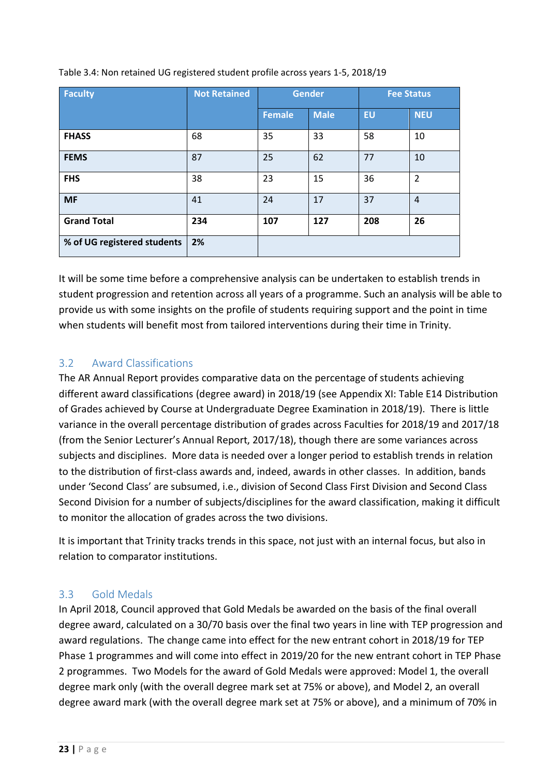| <b>Faculty</b>              | <b>Not Retained</b> | <b>Gender</b> |             |           | <b>Fee Status</b> |
|-----------------------------|---------------------|---------------|-------------|-----------|-------------------|
|                             |                     | <b>Female</b> | <b>Male</b> | <b>EU</b> | <b>NEU</b>        |
| <b>FHASS</b>                | 68                  | 35            | 33          | 58        | 10                |
| <b>FEMS</b>                 | 87                  | 25            | 62          | 77        | 10                |
| <b>FHS</b>                  | 38                  | 23            | 15          | 36        | $\overline{2}$    |
| <b>MF</b>                   | 41                  | 24            | 17          | 37        | $\overline{4}$    |
| <b>Grand Total</b>          | 234                 | 107           | 127         | 208       | 26                |
| % of UG registered students | 2%                  |               |             |           |                   |

Table 3.4: Non retained UG registered student profile across years 1-5, 2018/19

It will be some time before a comprehensive analysis can be undertaken to establish trends in student progression and retention across all years of a programme. Such an analysis will be able to provide us with some insights on the profile of students requiring support and the point in time when students will benefit most from tailored interventions during their time in Trinity.

### <span id="page-22-0"></span>3.2 Award Classifications

The AR Annual Report provides comparative data on the percentage of students achieving different award classifications (degree award) in 2018/19 (see Appendix XI: Table E14 Distribution of Grades achieved by Course at Undergraduate Degree Examination in 2018/19). There is little variance in the overall percentage distribution of grades across Faculties for 2018/19 and 2017/18 (from the Senior Lecturer's Annual Report, 2017/18), though there are some variances across subjects and disciplines. More data is needed over a longer period to establish trends in relation to the distribution of first-class awards and, indeed, awards in other classes. In addition, bands under 'Second Class' are subsumed, i.e., division of Second Class First Division and Second Class Second Division for a number of subjects/disciplines for the award classification, making it difficult to monitor the allocation of grades across the two divisions.

It is important that Trinity tracks trends in this space, not just with an internal focus, but also in relation to comparator institutions.

#### <span id="page-22-1"></span>3.3 Gold Medals

In April 2018, Council approved that Gold Medals be awarded on the basis of the final overall degree award, calculated on a 30/70 basis over the final two years in line with TEP progression and award regulations. The change came into effect for the new entrant cohort in 2018/19 for TEP Phase 1 programmes and will come into effect in 2019/20 for the new entrant cohort in TEP Phase 2 programmes. Two Models for the award of Gold Medals were approved: Model 1, the overall degree mark only (with the overall degree mark set at 75% or above), and Model 2, an overall degree award mark (with the overall degree mark set at 75% or above), and a minimum of 70% in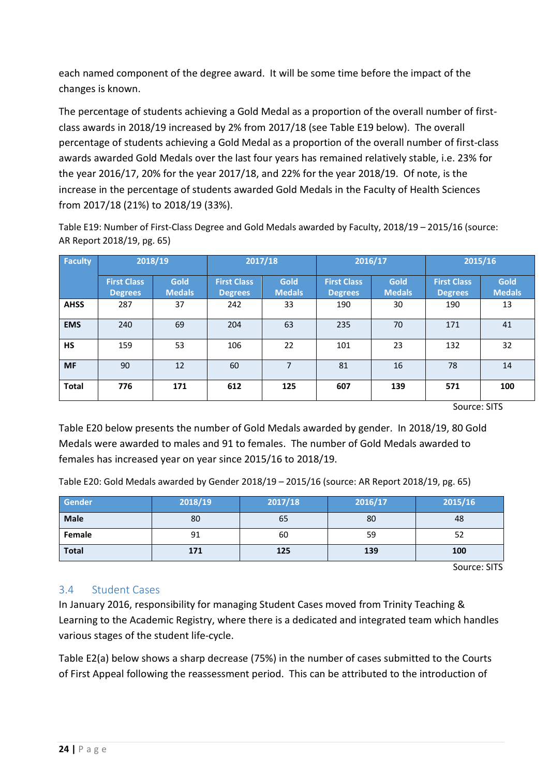each named component of the degree award. It will be some time before the impact of the changes is known.

The percentage of students achieving a Gold Medal as a proportion of the overall number of firstclass awards in 2018/19 increased by 2% from 2017/18 (see Table E19 below). The overall percentage of students achieving a Gold Medal as a proportion of the overall number of first-class awards awarded Gold Medals over the last four years has remained relatively stable, i.e. 23% for the year 2016/17, 20% for the year 2017/18, and 22% for the year 2018/19. Of note, is the increase in the percentage of students awarded Gold Medals in the Faculty of Health Sciences from 2017/18 (21%) to 2018/19 (33%).

Table E19: Number of First-Class Degree and Gold Medals awarded by Faculty, 2018/19 – 2015/16 (source: AR Report 2018/19, pg. 65)

| <b>Faculty</b> | 2018/19                              |                       |                                      | 2017/18                      |                                      | 2016/17               | 2015/16                              |                       |
|----------------|--------------------------------------|-----------------------|--------------------------------------|------------------------------|--------------------------------------|-----------------------|--------------------------------------|-----------------------|
|                | <b>First Class</b><br><b>Degrees</b> | Gold<br><b>Medals</b> | <b>First Class</b><br><b>Degrees</b> | <b>Gold</b><br><b>Medals</b> | <b>First Class</b><br><b>Degrees</b> | Gold<br><b>Medals</b> | <b>First Class</b><br><b>Degrees</b> | Gold<br><b>Medals</b> |
| <b>AHSS</b>    | 287                                  | 37                    | 242                                  | 33                           | 190                                  | 30                    | 190                                  | 13                    |
| <b>EMS</b>     | 240                                  | 69                    | 204                                  | 63                           | 235                                  | 70                    | 171                                  | 41                    |
| <b>HS</b>      | 159                                  | 53                    | 106                                  | 22                           | 101                                  | 23                    | 132                                  | 32                    |
| <b>MF</b>      | 90                                   | 12                    | 60                                   | 7                            | 81                                   | 16                    | 78                                   | 14                    |
| <b>Total</b>   | 776                                  | 171                   | 612                                  | 125                          | 607                                  | 139                   | 571                                  | 100                   |

Source: SITS

Table E20 below presents the number of Gold Medals awarded by gender. In 2018/19, 80 Gold Medals were awarded to males and 91 to females. The number of Gold Medals awarded to females has increased year on year since 2015/16 to 2018/19.

Table E20: Gold Medals awarded by Gender 2018/19 – 2015/16 (source: AR Report 2018/19, pg. 65)

| Gender       | 2018/19 | 2017/18 | 2016/17 | 2015/16 |
|--------------|---------|---------|---------|---------|
| <b>Male</b>  | 80      | 65      | 80      | 48      |
| Female       | 91      | 60      | 59      | 52      |
| <b>Total</b> | 171     | 125     | 139     | 100     |

Source: SITS

### <span id="page-23-0"></span>3.4 Student Cases

In January 2016, responsibility for managing Student Cases moved from Trinity Teaching & Learning to the Academic Registry, where there is a dedicated and integrated team which handles various stages of the student life-cycle.

Table E2(a) below shows a sharp decrease (75%) in the number of cases submitted to the Courts of First Appeal following the reassessment period. This can be attributed to the introduction of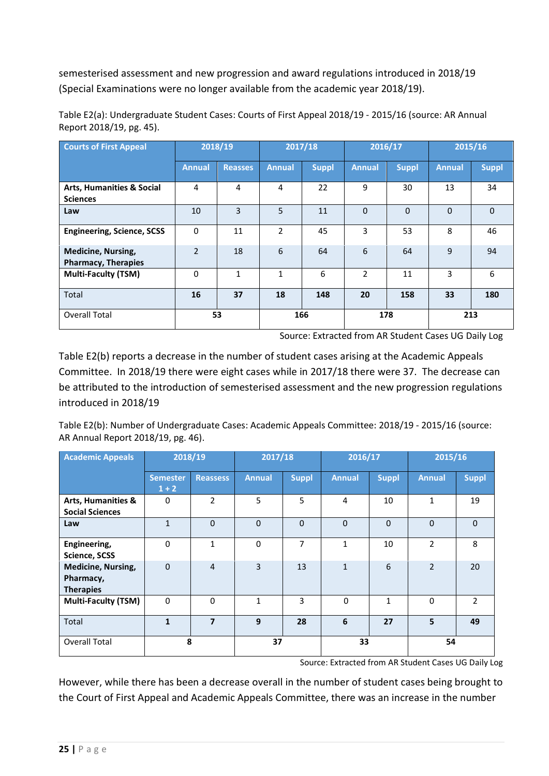semesterised assessment and new progression and award regulations introduced in 2018/19 (Special Examinations were no longer available from the academic year 2018/19).

**Courts of First Appeal 2018/19 2017/18 2016/17 2015/16 Annual Reasses Annual Suppl Annual Suppl Annual Suppl Arts, Humanities & Social Sciences** 4 | 4 | 4 | 22 | 9 | 30 | 13 | 34 **Law** 10 3 5 11 0 0 0 0 **Engineering, Science, SCSS** | 0 | 11 | 2 | 45 | 3 | 53 | 8 | 46 **Medicine, Nursing, Pharmacy, Therapies** 2 | 18 | 6 | 64 | 6 | 64 | 9 | 94 **Multi-Faculty (TSM)** | 0 | 1 | 1 | 6 | 2 | 11 | 3 | 6 Total **16 37 18 148 20 158 33 180** Overall Total **53 166 178 213**

Table E2(a): Undergraduate Student Cases: Courts of First Appeal 2018/19 - 2015/16 (source: AR Annual Report 2018/19, pg. 45).

Source: Extracted from AR Student Cases UG Daily Log

Table E2(b) reports a decrease in the number of student cases arising at the Academic Appeals Committee. In 2018/19 there were eight cases while in 2017/18 there were 37. The decrease can be attributed to the introduction of semesterised assessment and the new progression regulations introduced in 2018/19

Table E2(b): Number of Undergraduate Cases: Academic Appeals Committee: 2018/19 - 2015/16 (source: AR Annual Report 2018/19, pg. 46).

| <b>Academic Appeals</b>                                    | 2018/19                    |                 | 2017/18       |                | 2016/17       |              | 2015/16        |                |
|------------------------------------------------------------|----------------------------|-----------------|---------------|----------------|---------------|--------------|----------------|----------------|
|                                                            | <b>Semester</b><br>$1 + 2$ | <b>Reassess</b> | <b>Annual</b> | <b>Suppl</b>   | <b>Annual</b> | <b>Suppl</b> | <b>Annual</b>  | <b>Suppl</b>   |
| <b>Arts, Humanities &amp;</b><br><b>Social Sciences</b>    | $\Omega$                   | $\mathcal{P}$   | 5             | 5              | 4             | 10           | 1              | 19             |
| Law                                                        | $\mathbf{1}$               | $\Omega$        | $\Omega$      | $\Omega$       | $\Omega$      | $\Omega$     | $\Omega$       | $\Omega$       |
| Engineering,<br>Science, SCSS                              | $\Omega$                   | $\mathbf{1}$    | $\Omega$      | $\overline{7}$ | 1             | 10           | $\mathcal{P}$  | 8              |
| <b>Medicine, Nursing,</b><br>Pharmacy,<br><b>Therapies</b> | $\Omega$                   | $\overline{4}$  | 3             | 13             | $\mathbf{1}$  | 6            | $\mathfrak{D}$ | 20             |
| <b>Multi-Faculty (TSM)</b>                                 | $\Omega$                   | $\Omega$        | $\mathbf{1}$  | 3              | $\Omega$      | 1            | $\Omega$       | $\overline{2}$ |
| Total                                                      | $\mathbf{1}$               | $\overline{7}$  | 9             | 28             | 6             | 27           | 5              | 49             |
| <b>Overall Total</b>                                       | 8                          |                 | 37            |                | 33            |              | 54             |                |

Source: Extracted from AR Student Cases UG Daily Log

However, while there has been a decrease overall in the number of student cases being brought to the Court of First Appeal and Academic Appeals Committee, there was an increase in the number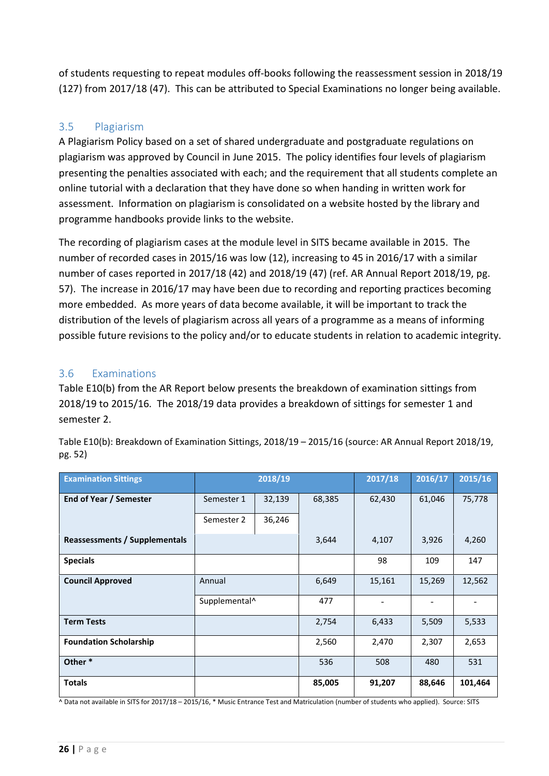of students requesting to repeat modules off-books following the reassessment session in 2018/19 (127) from 2017/18 (47). This can be attributed to Special Examinations no longer being available.

#### <span id="page-25-0"></span>3.5 Plagiarism

A Plagiarism Policy based on a set of shared undergraduate and postgraduate regulations on plagiarism was approved by Council in June 2015. The policy identifies four levels of plagiarism presenting the penalties associated with each; and the requirement that all students complete an online tutorial with a declaration that they have done so when handing in written work for assessment. Information on plagiarism is consolidated on a website hosted by the library and programme handbooks provide links to the website.

The recording of plagiarism cases at the module level in SITS became available in 2015. The number of recorded cases in 2015/16 was low (12), increasing to 45 in 2016/17 with a similar number of cases reported in 2017/18 (42) and 2018/19 (47) (ref. AR Annual Report 2018/19, pg. 57). The increase in 2016/17 may have been due to recording and reporting practices becoming more embedded. As more years of data become available, it will be important to track the distribution of the levels of plagiarism across all years of a programme as a means of informing possible future revisions to the policy and/or to educate students in relation to academic integrity.

#### <span id="page-25-1"></span>3.6 Examinations

Table E10(b) from the AR Report below presents the breakdown of examination sittings from 2018/19 to 2015/16. The 2018/19 data provides a breakdown of sittings for semester 1 and semester 2.

| <b>Examination Sittings</b>          |                                              | 2018/19 |        | 2017/18 | 2016/17 | 2015/16 |
|--------------------------------------|----------------------------------------------|---------|--------|---------|---------|---------|
| End of Year / Semester               | 32,139<br>Semester 1<br>36,246<br>Semester 2 |         | 68,385 | 62,430  | 61,046  | 75,778  |
|                                      |                                              |         |        |         |         |         |
| <b>Reassessments / Supplementals</b> |                                              |         | 3,644  | 4,107   | 3,926   | 4,260   |
| <b>Specials</b>                      |                                              |         |        | 98      | 109     | 147     |
| <b>Council Approved</b>              | Annual                                       |         | 6,649  | 15,161  | 15,269  | 12,562  |
|                                      | Supplemental <sup>^</sup>                    |         | 477    |         |         |         |
| <b>Term Tests</b>                    |                                              |         | 2,754  | 6,433   | 5,509   | 5,533   |
| <b>Foundation Scholarship</b>        |                                              |         | 2,560  | 2,470   | 2,307   | 2,653   |
| Other*                               |                                              |         | 536    | 508     | 480     | 531     |
| <b>Totals</b>                        |                                              |         | 85,005 | 91,207  | 88,646  | 101,464 |

Table E10(b): Breakdown of Examination Sittings, 2018/19 – 2015/16 (source: AR Annual Report 2018/19, pg. 52)

 $\overline{N}$  Data not available in SITS for 2017/18 – 2015/16,  $*$  Music Entrance Test and Matriculation (number of students who applied). Source: SITS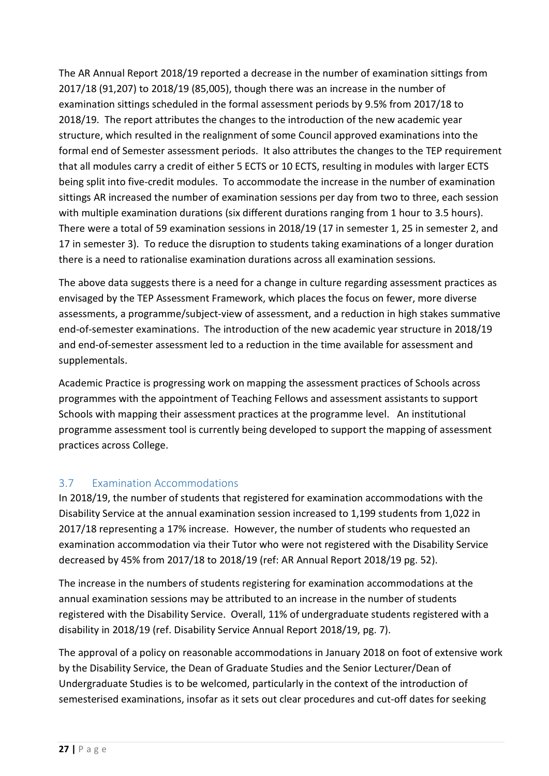The AR Annual Report 2018/19 reported a decrease in the number of examination sittings from 2017/18 (91,207) to 2018/19 (85,005), though there was an increase in the number of examination sittings scheduled in the formal assessment periods by 9.5% from 2017/18 to 2018/19. The report attributes the changes to the introduction of the new academic year structure, which resulted in the realignment of some Council approved examinations into the formal end of Semester assessment periods. It also attributes the changes to the TEP requirement that all modules carry a credit of either 5 ECTS or 10 ECTS, resulting in modules with larger ECTS being split into five-credit modules. To accommodate the increase in the number of examination sittings AR increased the number of examination sessions per day from two to three, each session with multiple examination durations (six different durations ranging from 1 hour to 3.5 hours). There were a total of 59 examination sessions in 2018/19 (17 in semester 1, 25 in semester 2, and 17 in semester 3). To reduce the disruption to students taking examinations of a longer duration there is a need to rationalise examination durations across all examination sessions.

The above data suggests there is a need for a change in culture regarding assessment practices as envisaged by the TEP Assessment Framework, which places the focus on fewer, more diverse assessments, a programme/subject-view of assessment, and a reduction in high stakes summative end-of-semester examinations. The introduction of the new academic year structure in 2018/19 and end-of-semester assessment led to a reduction in the time available for assessment and supplementals.

Academic Practice is progressing work on mapping the assessment practices of Schools across programmes with the appointment of Teaching Fellows and assessment assistants to support Schools with mapping their assessment practices at the programme level. An institutional programme assessment tool is currently being developed to support the mapping of assessment practices across College.

### <span id="page-26-0"></span>3.7 Examination Accommodations

In 2018/19, the number of students that registered for examination accommodations with the Disability Service at the annual examination session increased to 1,199 students from 1,022 in 2017/18 representing a 17% increase. However, the number of students who requested an examination accommodation via their Tutor who were not registered with the Disability Service decreased by 45% from 2017/18 to 2018/19 (ref: AR Annual Report 2018/19 pg. 52).

The increase in the numbers of students registering for examination accommodations at the annual examination sessions may be attributed to an increase in the number of students registered with the Disability Service. Overall, 11% of undergraduate students registered with a disability in 2018/19 (ref. Disability Service Annual Report 2018/19, pg. 7).

The approval of a policy on reasonable accommodations in January 2018 on foot of extensive work by the Disability Service, the Dean of Graduate Studies and the Senior Lecturer/Dean of Undergraduate Studies is to be welcomed, particularly in the context of the introduction of semesterised examinations, insofar as it sets out clear procedures and cut-off dates for seeking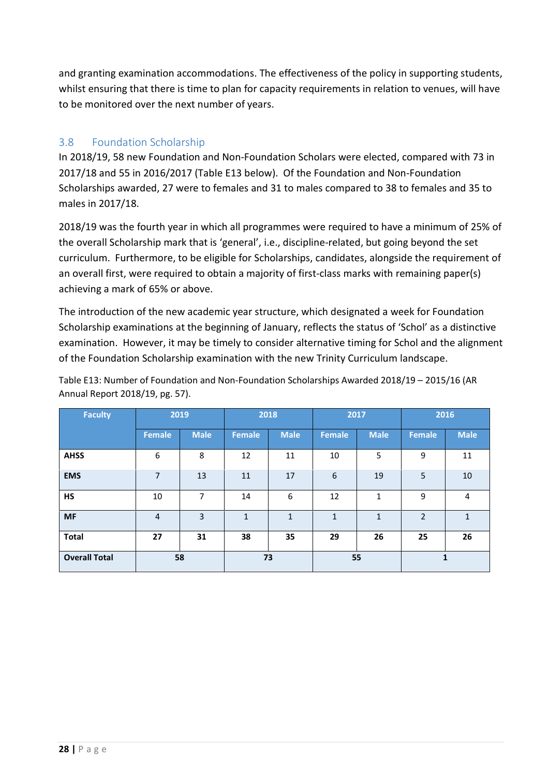and granting examination accommodations. The effectiveness of the policy in supporting students, whilst ensuring that there is time to plan for capacity requirements in relation to venues, will have to be monitored over the next number of years.

### <span id="page-27-0"></span>3.8 Foundation Scholarship

In 2018/19, 58 new Foundation and Non-Foundation Scholars were elected, compared with 73 in 2017/18 and 55 in 2016/2017 (Table E13 below). Of the Foundation and Non-Foundation Scholarships awarded, 27 were to females and 31 to males compared to 38 to females and 35 to males in 2017/18.

2018/19 was the fourth year in which all programmes were required to have a minimum of 25% of the overall Scholarship mark that is 'general', i.e., discipline-related, but going beyond the set curriculum. Furthermore, to be eligible for Scholarships, candidates, alongside the requirement of an overall first, were required to obtain a majority of first-class marks with remaining paper(s) achieving a mark of 65% or above.

The introduction of the new academic year structure, which designated a week for Foundation Scholarship examinations at the beginning of January, reflects the status of 'Schol' as a distinctive examination. However, it may be timely to consider alternative timing for Schol and the alignment of the Foundation Scholarship examination with the new Trinity Curriculum landscape.

Table E13: Number of Foundation and Non-Foundation Scholarships Awarded 2018/19 – 2015/16 (AR Annual Report 2018/19, pg. 57).

| <b>Faculty</b>       | 2019           |                |               | 2018         | 2017          |              | 2016          |                |
|----------------------|----------------|----------------|---------------|--------------|---------------|--------------|---------------|----------------|
|                      | <b>Female</b>  | <b>Male</b>    | <b>Female</b> | <b>Male</b>  | <b>Female</b> | <b>Male</b>  | <b>Female</b> | <b>Male</b>    |
| <b>AHSS</b>          | 6              | 8              | 12            | 11           | 10            | 5            | 9             | 11             |
| <b>EMS</b>           | 7              | 13             | 11            | 17           | 6             | 19           | 5             | 10             |
| <b>HS</b>            | 10             | 7              | 14            | 6            | 12            | 1            | 9             | $\overline{4}$ |
| <b>MF</b>            | $\overline{4}$ | $\overline{3}$ | $\mathbf{1}$  | $\mathbf{1}$ | $\mathbf{1}$  | $\mathbf{1}$ | 2             | $\mathbf{1}$   |
| <b>Total</b>         | 27             | 31             | 38            | 35           | 29            | 26           | 25            | 26             |
| <b>Overall Total</b> | 58             |                | 73            |              | 55            |              |               |                |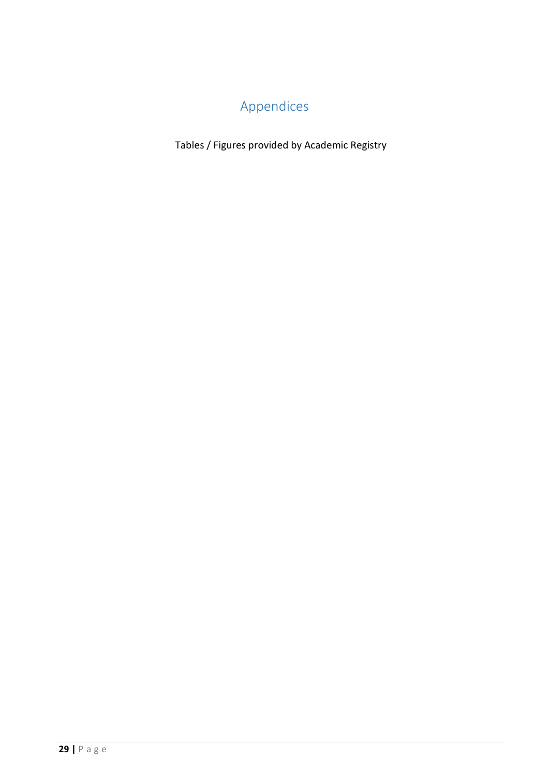# Appendices

<span id="page-28-0"></span>Tables / Figures provided by Academic Registry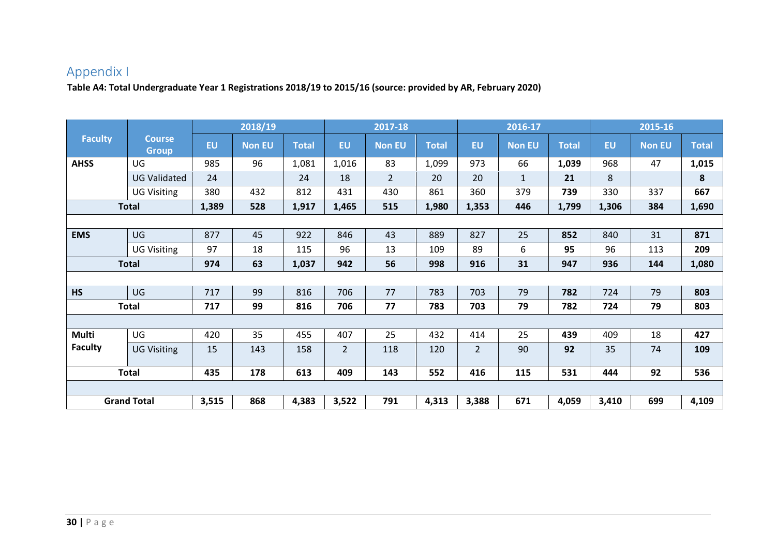## Appendix I

**Table A4: Total Undergraduate Year 1 Registrations 2018/19 to 2015/16 (source: provided by AR, February 2020)**

<span id="page-29-0"></span>

|                |                               |       | 2018/19       |              |                | 2017-18        |              |                | 2016-17       |              |           | 2015-16       |              |
|----------------|-------------------------------|-------|---------------|--------------|----------------|----------------|--------------|----------------|---------------|--------------|-----------|---------------|--------------|
| <b>Faculty</b> | <b>Course</b><br><b>Group</b> | EU    | <b>Non EU</b> | <b>Total</b> | <b>EU</b>      | <b>Non EU</b>  | <b>Total</b> | <b>EU</b>      | <b>Non EU</b> | <b>Total</b> | <b>EU</b> | <b>Non EU</b> | <b>Total</b> |
| <b>AHSS</b>    | UG                            | 985   | 96            | 1,081        | 1,016          | 83             | 1,099        | 973            | 66            | 1,039        | 968       | 47            | 1,015        |
|                | <b>UG Validated</b>           | 24    |               | 24           | 18             | $\overline{2}$ | 20           | 20             | $\mathbf{1}$  | 21           | 8         |               | 8            |
|                | <b>UG Visiting</b>            | 380   | 432           | 812          | 431            | 430            | 861          | 360            | 379           | 739          | 330       | 337           | 667          |
|                | <b>Total</b>                  | 1,389 | 528           | 1,917        | 1,465          | 515            | 1,980        | 1,353          | 446           | 1,799        | 1,306     | 384           | 1,690        |
|                |                               |       |               |              |                |                |              |                |               |              |           |               |              |
| <b>EMS</b>     | <b>UG</b>                     | 877   | 45            | 922          | 846            | 43             | 889          | 827            | 25            | 852          | 840       | 31            | 871          |
|                | <b>UG Visiting</b>            | 97    | 18            | 115          | 96             | 13             | 109          | 89             | 6             | 95           | 96        | 113           | 209          |
|                | <b>Total</b>                  | 974   | 63            | 1,037        | 942            | 56             | 998          | 916            | 31            | 947          | 936       | 144           | 1,080        |
|                |                               |       |               |              |                |                |              |                |               |              |           |               |              |
| <b>HS</b>      | UG                            | 717   | 99            | 816          | 706            | 77             | 783          | 703            | 79            | 782          | 724       | 79            | 803          |
|                | <b>Total</b>                  | 717   | 99            | 816          | 706            | 77             | 783          | 703            | 79            | 782          | 724       | 79            | 803          |
|                |                               |       |               |              |                |                |              |                |               |              |           |               |              |
| <b>Multi</b>   | UG                            | 420   | 35            | 455          | 407            | 25             | 432          | 414            | 25            | 439          | 409       | 18            | 427          |
| <b>Faculty</b> | <b>UG Visiting</b>            | 15    | 143           | 158          | $\overline{2}$ | 118            | 120          | $\overline{2}$ | 90            | 92           | 35        | 74            | 109          |
|                | <b>Total</b>                  | 435   | 178           | 613          | 409            | 143            | 552          | 416            | 115           | 531          | 444       | 92            | 536          |
|                |                               |       |               |              |                |                |              |                |               |              |           |               |              |
|                | <b>Grand Total</b>            | 3,515 | 868           | 4,383        | 3,522          | 791            | 4,313        | 3,388          | 671           | 4,059        | 3,410     | 699           | 4,109        |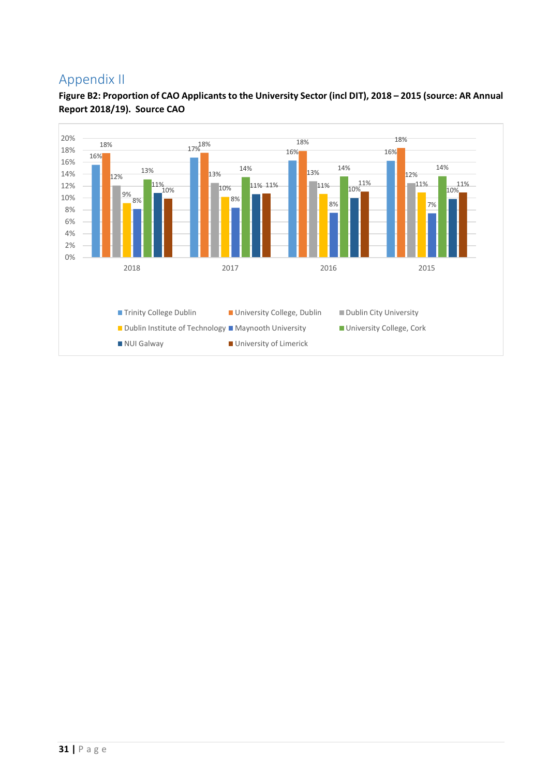### <span id="page-30-0"></span>Appendix II



**Figure B2: Proportion of CAO Applicants to the University Sector (incl DIT), 2018 – 2015 (source: AR Annual Report 2018/19). Source CAO**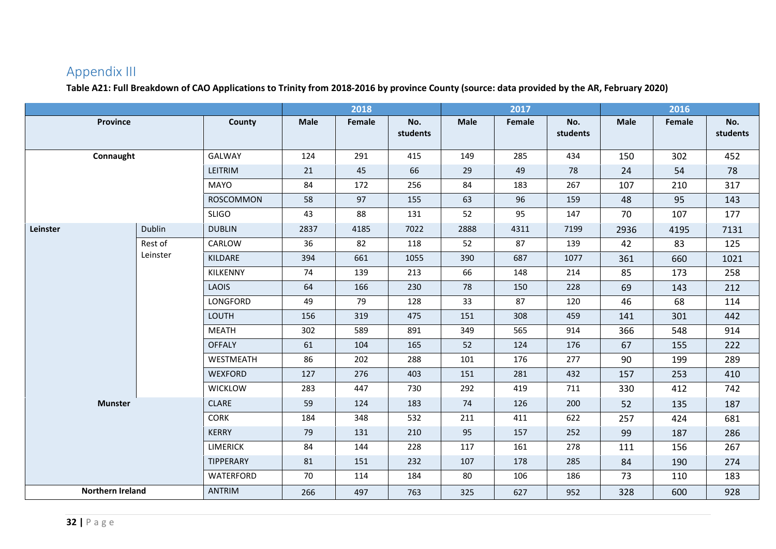## Appendix III

**Table A21: Full Breakdown of CAO Applications to Trinity from 2018-2016 by province County (source: data provided by the AR, February 2020)**

<span id="page-31-0"></span>

|                         |          |                  |             | 2018   |                 |      | 2017   |                 |             | 2016   |                 |
|-------------------------|----------|------------------|-------------|--------|-----------------|------|--------|-----------------|-------------|--------|-----------------|
| <b>Province</b>         |          | County           | <b>Male</b> | Female | No.<br>students | Male | Female | No.<br>students | <b>Male</b> | Female | No.<br>students |
| Connaught               |          | <b>GALWAY</b>    | 124         | 291    | 415             | 149  | 285    | 434             | 150         | 302    | 452             |
|                         |          | LEITRIM          | 21          | 45     | 66              | 29   | 49     | 78              | 24          | 54     | 78              |
|                         |          | MAYO             | 84          | 172    | 256             | 84   | 183    | 267             | 107         | 210    | 317             |
|                         |          | <b>ROSCOMMON</b> | 58          | 97     | 155             | 63   | 96     | 159             | 48          | 95     | 143             |
|                         |          | <b>SLIGO</b>     | 43          | 88     | 131             | 52   | 95     | 147             | 70          | 107    | 177             |
| Leinster                | Dublin   | <b>DUBLIN</b>    | 2837        | 4185   | 7022            | 2888 | 4311   | 7199            | 2936        | 4195   | 7131            |
|                         | Rest of  | CARLOW           | 36          | 82     | 118             | 52   | 87     | 139             | 42          | 83     | 125             |
|                         | Leinster | KILDARE          | 394         | 661    | 1055            | 390  | 687    | 1077            | 361         | 660    | 1021            |
|                         |          | KILKENNY         | 74          | 139    | 213             | 66   | 148    | 214             | 85          | 173    | 258             |
|                         |          | <b>LAOIS</b>     | 64          | 166    | 230             | 78   | 150    | 228             | 69          | 143    | 212             |
|                         |          | LONGFORD         | 49          | 79     | 128             | 33   | 87     | 120             | 46          | 68     | 114             |
|                         |          | <b>LOUTH</b>     | 156         | 319    | 475             | 151  | 308    | 459             | 141         | 301    | 442             |
|                         |          | <b>MEATH</b>     | 302         | 589    | 891             | 349  | 565    | 914             | 366         | 548    | 914             |
|                         |          | <b>OFFALY</b>    | 61          | 104    | 165             | 52   | 124    | 176             | 67          | 155    | 222             |
|                         |          | WESTMEATH        | 86          | 202    | 288             | 101  | 176    | 277             | 90          | 199    | 289             |
|                         |          | <b>WEXFORD</b>   | 127         | 276    | 403             | 151  | 281    | 432             | 157         | 253    | 410             |
|                         |          | <b>WICKLOW</b>   | 283         | 447    | 730             | 292  | 419    | 711             | 330         | 412    | 742             |
| <b>Munster</b>          |          | <b>CLARE</b>     | 59          | 124    | 183             | 74   | 126    | 200             | 52          | 135    | 187             |
|                         |          | <b>CORK</b>      | 184         | 348    | 532             | 211  | 411    | 622             | 257         | 424    | 681             |
|                         |          | <b>KERRY</b>     | 79          | 131    | 210             | 95   | 157    | 252             | 99          | 187    | 286             |
|                         |          | <b>LIMERICK</b>  | 84          | 144    | 228             | 117  | 161    | 278             | 111         | 156    | 267             |
|                         |          | TIPPERARY        | 81          | 151    | 232             | 107  | 178    | 285             | 84          | 190    | 274             |
|                         |          | WATERFORD        | 70          | 114    | 184             | 80   | 106    | 186             | 73          | 110    | 183             |
| <b>Northern Ireland</b> |          | <b>ANTRIM</b>    | 266         | 497    | 763             | 325  | 627    | 952             | 328         | 600    | 928             |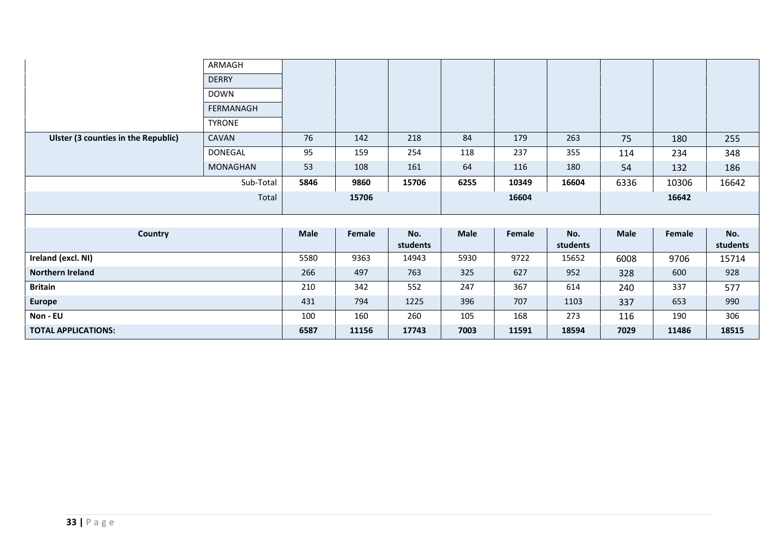|                                     | ARMAGH        |             |        |                 |      |        |                 |             |        |                 |
|-------------------------------------|---------------|-------------|--------|-----------------|------|--------|-----------------|-------------|--------|-----------------|
|                                     | <b>DERRY</b>  |             |        |                 |      |        |                 |             |        |                 |
|                                     | <b>DOWN</b>   |             |        |                 |      |        |                 |             |        |                 |
|                                     | FERMANAGH     |             |        |                 |      |        |                 |             |        |                 |
|                                     | <b>TYRONE</b> |             |        |                 |      |        |                 |             |        |                 |
| Ulster (3 counties in the Republic) | CAVAN         | 76          | 142    | 218             | 84   | 179    | 263             | 75          | 180    | 255             |
|                                     | DONEGAL       | 95          | 159    | 254             | 118  | 237    | 355             | 114         | 234    | 348             |
|                                     | MONAGHAN      | 53          | 108    | 161             | 64   | 116    | 180             | 54          | 132    | 186             |
|                                     | Sub-Total     | 5846        | 9860   | 15706           | 6255 | 10349  | 16604           | 6336        | 10306  | 16642           |
|                                     |               |             |        |                 |      |        |                 |             |        |                 |
|                                     | Total         |             | 15706  |                 |      | 16604  |                 |             | 16642  |                 |
|                                     |               |             |        |                 |      |        |                 |             |        |                 |
|                                     |               |             |        |                 |      |        |                 |             |        |                 |
| <b>Country</b>                      |               | <b>Male</b> | Female | No.<br>students | Male | Female | No.<br>students | <b>Male</b> | Female | No.<br>students |
| Ireland (excl. NI)                  |               | 5580        | 9363   | 14943           | 5930 | 9722   | 15652           | 6008        | 9706   | 15714           |
| <b>Northern Ireland</b>             |               | 266         | 497    | 763             | 325  | 627    | 952             | 328         | 600    | 928             |
| <b>Britain</b>                      |               | 210         | 342    | 552             | 247  | 367    | 614             | 240         | 337    | 577             |
| <b>Europe</b>                       |               | 431         | 794    | 1225            | 396  | 707    | 1103            | 337         | 653    | 990             |
| Non - EU                            |               | 100         | 160    | 260             | 105  | 168    | 273             | 116         | 190    | 306             |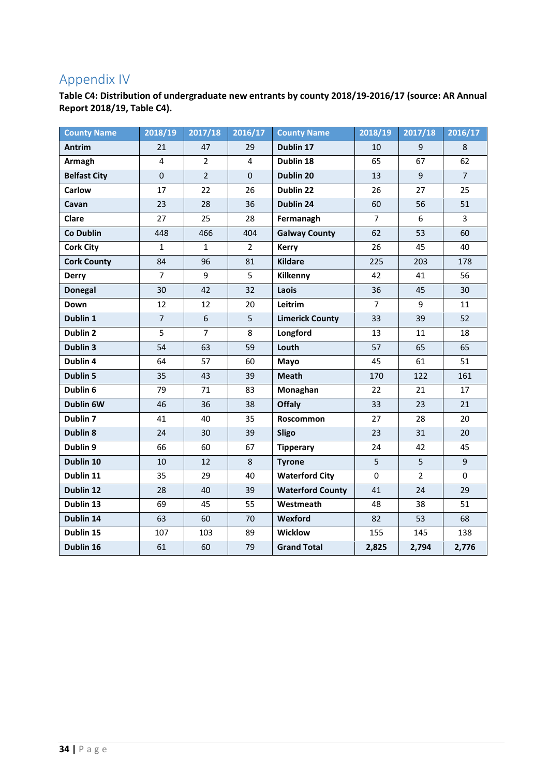## <span id="page-33-0"></span>Appendix IV

**Table C4: Distribution of undergraduate new entrants by county 2018/19-2016/17 (source: AR Annual Report 2018/19, Table C4).**

| <b>County Name</b>  | 2018/19        | 2017/18        | 2016/17        | <b>County Name</b>      | 2018/19        | 2017/18        | 2016/17        |
|---------------------|----------------|----------------|----------------|-------------------------|----------------|----------------|----------------|
| <b>Antrim</b>       | 21             | 47             | 29             | Dublin 17               | 10             | 9              | 8              |
| Armagh              | 4              | $\overline{2}$ | $\overline{4}$ | Dublin 18               | 65             | 67             | 62             |
| <b>Belfast City</b> | $\mathbf 0$    | $\overline{2}$ | $\mathbf 0$    | Dublin 20               | 13             | 9              | $\overline{7}$ |
| <b>Carlow</b>       | 17             | 22             | 26             | Dublin 22               | 26             | 27             | 25             |
| Cavan               | 23             | 28             | 36             | Dublin 24               | 60             | 56             | 51             |
| <b>Clare</b>        | 27             | 25             | 28             | Fermanagh               | $\overline{7}$ | 6              | $\overline{3}$ |
| <b>Co Dublin</b>    | 448            | 466            | 404            | <b>Galway County</b>    | 62             | 53             | 60             |
| <b>Cork City</b>    | $\mathbf{1}$   | $\mathbf{1}$   | $\overline{2}$ | <b>Kerry</b>            | 26             | 45             | 40             |
| <b>Cork County</b>  | 84             | 96             | 81             | <b>Kildare</b>          | 225            | 203            | 178            |
| <b>Derry</b>        | $\overline{7}$ | 9              | 5              | Kilkenny                | 42             | 41             | 56             |
| <b>Donegal</b>      | 30             | 42             | 32             | Laois                   | 36             | 45             | 30             |
| Down                | 12             | 12             | 20             | Leitrim                 | $\overline{7}$ | 9              | 11             |
| Dublin 1            | $\overline{7}$ | 6              | 5              | <b>Limerick County</b>  | 33             | 39             | 52             |
| Dublin 2            | 5              | $\overline{7}$ | 8              | Longford                | 13             | 11             | 18             |
| Dublin 3            | 54             | 63             | 59             | Louth                   | 57             | 65             | 65             |
| Dublin 4            | 64             | 57             | 60             | Mayo                    | 45             | 61             | 51             |
| <b>Dublin 5</b>     | 35             | 43             | 39             | <b>Meath</b>            | 170            | 122            | 161            |
| Dublin 6            | 79             | 71             | 83             | Monaghan                | 22             | 21             | 17             |
| Dublin 6W           | 46             | 36             | 38             | Offaly                  | 33             | 23             | 21             |
| Dublin <sub>7</sub> | 41             | 40             | 35             | Roscommon               | 27             | 28             | 20             |
| Dublin 8            | 24             | 30             | 39             | Sligo                   | 23             | 31             | 20             |
| Dublin 9            | 66             | 60             | 67             | <b>Tipperary</b>        | 24             | 42             | 45             |
| Dublin 10           | 10             | 12             | $\,8\,$        | <b>Tyrone</b>           | 5              | 5              | 9              |
| Dublin 11           | 35             | 29             | 40             | <b>Waterford City</b>   | $\mathbf 0$    | $\overline{2}$ | $\mathbf 0$    |
| Dublin 12           | 28             | 40             | 39             | <b>Waterford County</b> | 41             | 24             | 29             |
| Dublin 13           | 69             | 45             | 55             | Westmeath               | 48             | 38             | 51             |
| Dublin 14           | 63             | 60             | 70             | Wexford                 | 82             | 53             | 68             |
| Dublin 15           | 107            | 103            | 89             | <b>Wicklow</b>          | 155            | 145            | 138            |
| Dublin 16           | 61             | 60             | 79             | <b>Grand Total</b>      | 2,825          | 2,794          | 2,776          |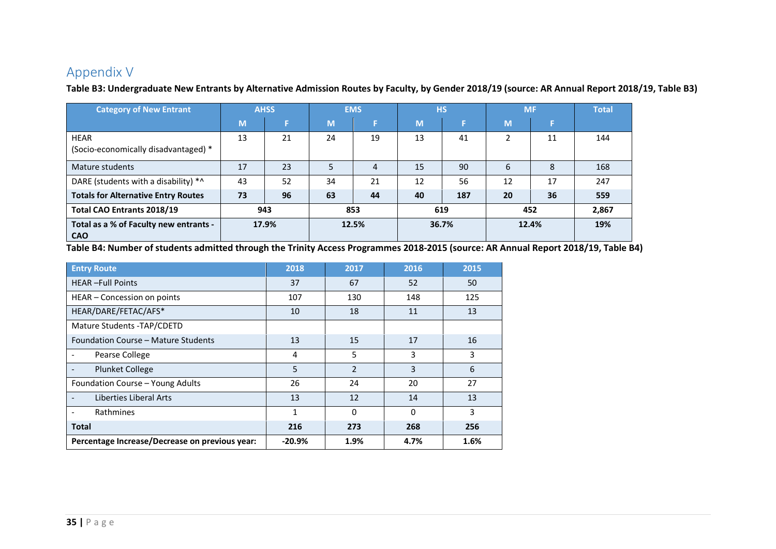## Appendix V

**Table B3: Undergraduate New Entrants by Alternative Admission Routes by Faculty, by Gender 2018/19 (source: AR Annual Report 2018/19, Table B3)**

| <b>Category of New Entrant</b>                       |    | <b>AHSS</b> |    | <b>EMS</b> |    | <b>HS</b> |        | <b>MF</b> | <b>Total</b> |
|------------------------------------------------------|----|-------------|----|------------|----|-----------|--------|-----------|--------------|
|                                                      | M  |             | M  |            | M  |           | M      |           |              |
| <b>HEAR</b><br>(Socio-economically disadvantaged) *  | 13 | 21          | 24 | 19         | 13 | 41        | ຳ<br>∠ | 11        | 144          |
| Mature students                                      | 17 | 23          |    | 4          | 15 | 90        | 6      | 8         | 168          |
| DARE (students with a disability) *^                 | 43 | 52          | 34 | 21         | 12 | 56        | 12     | 17        | 247          |
| <b>Totals for Alternative Entry Routes</b>           | 73 | 96          | 63 | 44         | 40 | 187       | 20     | 36        | 559          |
| Total CAO Entrants 2018/19                           |    | 943         |    | 853        |    | 619       |        | 452       | 2,867        |
| Total as a % of Faculty new entrants -<br><b>CAO</b> |    | 17.9%       |    | 12.5%      |    | 36.7%     |        | 12.4%     | 19%          |

**Table B4: Number of students admitted through the Trinity Access Programmes 2018-2015 (source: AR Annual Report 2018/19, Table B4)**

<span id="page-34-0"></span>

| <b>Entry Route</b>                             | 2018     | 2017           | 2016     | 2015 |
|------------------------------------------------|----------|----------------|----------|------|
| <b>HEAR-Full Points</b>                        | 37       | 67             | 52       | 50   |
| HEAR - Concession on points                    | 107      | 130            | 148      | 125  |
| HEAR/DARE/FETAC/AFS*                           | 10       | 18             | 11       | 13   |
| Mature Students - TAP/CDETD                    |          |                |          |      |
| Foundation Course – Mature Students            | 13       | 15             | 17       | 16   |
| Pearse College                                 | 4        | 5              | 3        | 3    |
| <b>Plunket College</b>                         | 5        | $\mathfrak{D}$ | 3        | 6    |
| Foundation Course - Young Adults               | 26       | 24             | 20       | 27   |
| Liberties Liberal Arts                         | 13       | 12             | 14       | 13   |
| Rathmines<br>$\overline{\phantom{a}}$          | 1        | 0              | $\Omega$ | 3    |
| <b>Total</b>                                   | 216      | 273            | 268      | 256  |
| Percentage Increase/Decrease on previous year: | $-20.9%$ | 1.9%           | 4.7%     | 1.6% |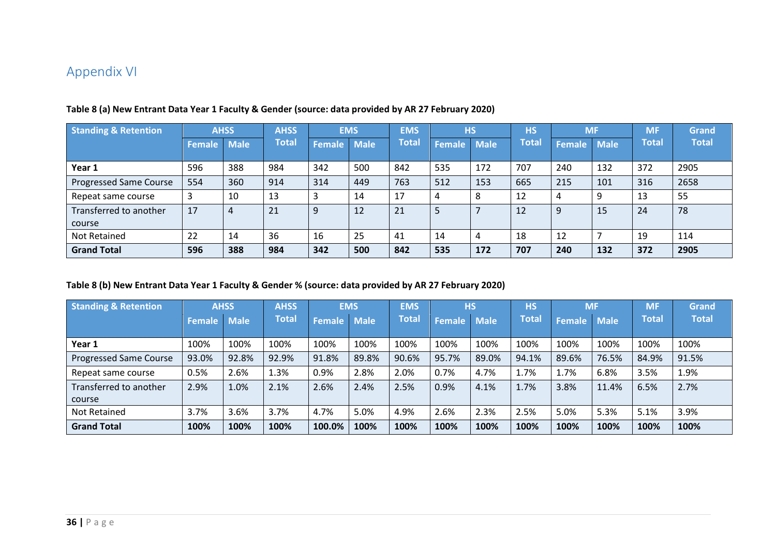## Appendix VI

| <b>Standing &amp; Retention</b> | <b>AHSS</b> |             | <b>AHSS</b>  |               | <b>EMS</b>  | <b>EMS</b>   |        | <b>HS</b>   | <b>HS</b>    | <b>MF</b> |      | <b>MF</b> | Grand        |
|---------------------------------|-------------|-------------|--------------|---------------|-------------|--------------|--------|-------------|--------------|-----------|------|-----------|--------------|
|                                 | Female      | <b>Male</b> | <b>Total</b> | <b>Female</b> | <b>Male</b> | <b>Total</b> | Female | <b>Male</b> | <b>Total</b> | Female    | Male | Total     | <b>Total</b> |
| Year 1                          | 596         | 388         | 984          | 342           | 500         | 842          | 535    | 172         | 707          | 240       | 132  | 372       | 2905         |
| <b>Progressed Same Course</b>   | 554         | 360         | 914          | 314           | 449         | 763          | 512    | 153         | 665          | 215       | 101  | 316       | 2658         |
| Repeat same course              |             | 10          | 13           |               | 14          | 17           |        | 8           | 12           | 4         | 9    | 13        | 55           |
| Transferred to another          | 17          | 4           | 21           | 9             | 12          | 21           |        |             | 12           | 9         | 15   | 24        | 78           |
| course                          |             |             |              |               |             |              |        |             |              |           |      |           |              |
| Not Retained                    | 22          | 14          | 36           | 16            | 25          | 41           | 14     | 4           | 18           | 12        |      | 19        | 114          |
| <b>Grand Total</b>              | 596         | 388         | 984          | 342           | 500         | 842          | 535    | 172         | 707          | 240       | 132  | 372       | 2905         |

#### **Table 8 (a) New Entrant Data Year 1 Faculty & Gender (source: data provided by AR 27 February 2020)**

#### <span id="page-35-0"></span>**Table 8 (b) New Entrant Data Year 1 Faculty & Gender % (source: data provided by AR 27 February 2020)**

| <b>Standing &amp; Retention</b> | <b>AHSS</b>   |             | <b>AHSS</b> |               | <b>EMS</b>  | <b>EMS</b> | <b>HS</b>     |             | <b>HS</b>    | <b>MF</b>     |             | <b>ME</b>    | <b>Grand</b> |
|---------------------------------|---------------|-------------|-------------|---------------|-------------|------------|---------------|-------------|--------------|---------------|-------------|--------------|--------------|
|                                 | <b>Female</b> | <b>Male</b> | Total       | <b>Female</b> | <b>Male</b> | Гоtal      | <b>Female</b> | <b>Male</b> | <b>Total</b> | <b>Female</b> | <b>Male</b> | <b>Total</b> | Total        |
| Year 1                          | 100%          | 100%        | 100%        | 100%          | 100%        | 100%       | 100%          | 100%        | 100%         | 100%          | 100%        | 100%         | 100%         |
| Progressed Same Course          | 93.0%         | 92.8%       | 92.9%       | 91.8%         | 89.8%       | 90.6%      | 95.7%         | 89.0%       | 94.1%        | 89.6%         | 76.5%       | 84.9%        | 91.5%        |
| Repeat same course              | 0.5%          | 2.6%        | 1.3%        | 0.9%          | 2.8%        | 2.0%       | 0.7%          | 4.7%        | 1.7%         | 1.7%          | 6.8%        | 3.5%         | 1.9%         |
| Transferred to another          | 2.9%          | 1.0%        | 2.1%        | 2.6%          | 2.4%        | 2.5%       | 0.9%          | 4.1%        | 1.7%         | 3.8%          | 11.4%       | 6.5%         | 2.7%         |
| course                          |               |             |             |               |             |            |               |             |              |               |             |              |              |
| Not Retained                    | 3.7%          | 3.6%        | 3.7%        | 4.7%          | 5.0%        | 4.9%       | 2.6%          | 2.3%        | 2.5%         | 5.0%          | 5.3%        | 5.1%         | 3.9%         |
| <b>Grand Total</b>              | 100%          | 100%        | 100%        | 100.0%        | 100%        | 100%       | 100%          | 100%        | 100%         | 100%          | 100%        | 100%         | 100%         |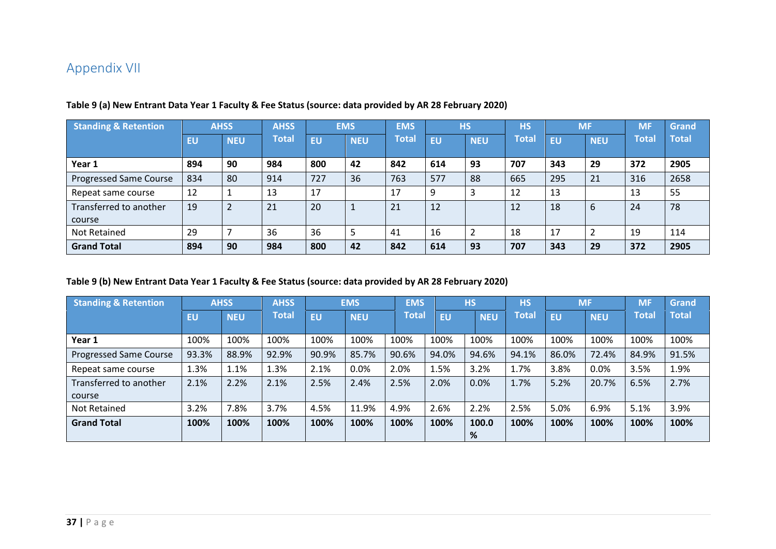## Appendix VII

| <b>Standing &amp; Retention</b> |     | <b>AHSS</b>              |              |           | <b>EMS</b> | <b>EMS</b>   |           | <b>HS</b>     | <b>HS</b>    |           | <b>MF</b>  | <b>MF</b> | <b>Grand</b> |
|---------------------------------|-----|--------------------------|--------------|-----------|------------|--------------|-----------|---------------|--------------|-----------|------------|-----------|--------------|
|                                 | EU  | <b>NEU</b>               | <b>Total</b> | <b>EU</b> | <b>NEU</b> | <b>Total</b> | <b>EU</b> | <b>NEU</b>    | <b>Total</b> | <b>EU</b> | <b>NEU</b> | Total     | <b>Total</b> |
| Year 1                          | 894 | 90                       | 984          | 800       | 42         | 842          | 614       | 93            | 707          | 343       | 29         | 372       | 2905         |
| Progressed Same Course          | 834 | 80                       | 914          | 727       | 36         | 763          | 577       | 88            | 665          | 295       | 21         | 316       | 2658         |
| Repeat same course              | 12  |                          | 13           | 17        |            | 17           |           | 3             | 12           | 13        |            | 13        | 55           |
| Transferred to another          | 19  | $\overline{2}$           | 21           | 20        |            | 21           | 12        |               | 12           | 18        | 6          | 24        | 78           |
| course                          |     |                          |              |           |            |              |           |               |              |           |            |           |              |
| Not Retained                    | 29  | $\overline{\phantom{a}}$ | 36           | 36        | 5          | 41           | 16        | $\mathcal{P}$ | 18           | 17        |            | 19        | 114          |
| <b>Grand Total</b>              | 894 | 90                       | 984          | 800       | 42         | 842          | 614       | 93            | 707          | 343       | 29         | 372       | 2905         |

#### **Table 9 (a) New Entrant Data Year 1 Faculty & Fee Status (source: data provided by AR 28 February 2020)**

#### <span id="page-36-0"></span>**Table 9 (b) New Entrant Data Year 1 Faculty & Fee Status (source: data provided by AR 28 February 2020)**

| <b>Standing &amp; Retention</b> |       | <b>AHSS</b><br><b>AHSS</b> |              |           | <b>EMS</b> | <b>EMS</b> |           | <b>HS</b>  | <b>HS</b>    |           | <b>MF</b>  | <b>MF</b>    | Grand        |
|---------------------------------|-------|----------------------------|--------------|-----------|------------|------------|-----------|------------|--------------|-----------|------------|--------------|--------------|
|                                 | EU    | <b>NEU</b>                 | <b>Total</b> | <b>EU</b> | <b>NEU</b> | Total      | <b>EU</b> | <b>NEU</b> | <b>Total</b> | <b>EU</b> | <b>NEU</b> | <b>Total</b> | <b>Total</b> |
| Year 1                          | 100%  | 100%                       | 100%         | 100%      | 100%       | 100%       | 100%      | 100%       | 100%         | 100%      | 100%       | 100%         | 100%         |
| <b>Progressed Same Course</b>   | 93.3% | 88.9%                      | 92.9%        | 90.9%     | 85.7%      | 90.6%      | 94.0%     | 94.6%      | 94.1%        | 86.0%     | 72.4%      | 84.9%        | 91.5%        |
| Repeat same course              | 1.3%  | 1.1%                       | 1.3%         | 2.1%      | 0.0%       | 2.0%       | 1.5%      | 3.2%       | 1.7%         | 3.8%      | 0.0%       | 3.5%         | 1.9%         |
| Transferred to another          | 2.1%  | 2.2%                       | 2.1%         | 2.5%      | 2.4%       | 2.5%       | 2.0%      | 0.0%       | 1.7%         | 5.2%      | 20.7%      | 6.5%         | 2.7%         |
| course                          |       |                            |              |           |            |            |           |            |              |           |            |              |              |
| Not Retained                    | 3.2%  | 7.8%                       | 3.7%         | 4.5%      | 11.9%      | 4.9%       | 2.6%      | 2.2%       | 2.5%         | 5.0%      | 6.9%       | 5.1%         | 3.9%         |
| <b>Grand Total</b>              | 100%  | 100%                       | 100%         | 100%      | 100%       | 100%       | 100%      | 100.0<br>% | 100%         | 100%      | 100%       | 100%         | 100%         |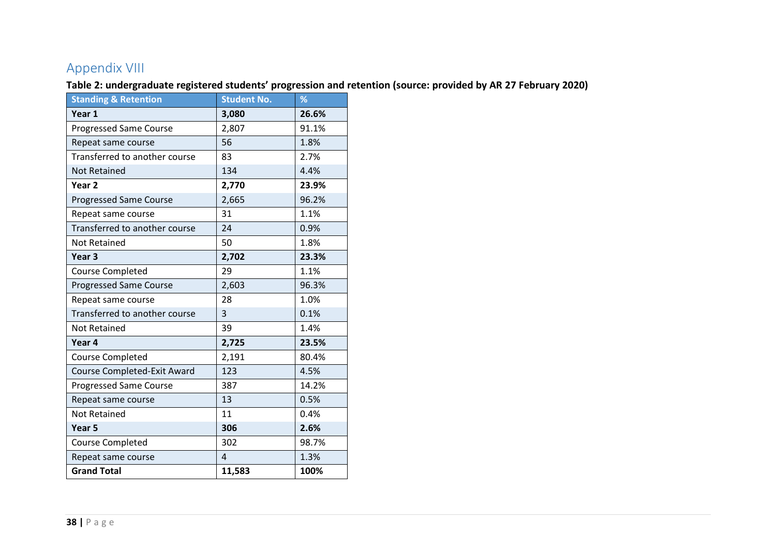## Appendix VIII

**Table 2: undergraduate registered students' progression and retention (source: provided by AR 27 February 2020)**

<span id="page-37-0"></span>

| <b>Standing &amp; Retention</b> | <b>Student No.</b> | %     |
|---------------------------------|--------------------|-------|
| Year 1                          | 3,080              | 26.6% |
| <b>Progressed Same Course</b>   | 2,807              | 91.1% |
| Repeat same course              | 56                 | 1.8%  |
| Transferred to another course   | 83                 | 2.7%  |
| <b>Not Retained</b>             | 134                | 4.4%  |
| Year <sub>2</sub>               | 2,770              | 23.9% |
| <b>Progressed Same Course</b>   | 2,665              | 96.2% |
| Repeat same course              | 31                 | 1.1%  |
| Transferred to another course   | 24                 | 0.9%  |
| <b>Not Retained</b>             | 50                 | 1.8%  |
| Year <sub>3</sub>               | 2,702              | 23.3% |
| <b>Course Completed</b>         | 29                 | 1.1%  |
| <b>Progressed Same Course</b>   | 2,603              | 96.3% |
| Repeat same course              | 28                 | 1.0%  |
| Transferred to another course   | $\overline{3}$     | 0.1%  |
| <b>Not Retained</b>             | 39                 | 1.4%  |
| Year <sub>4</sub>               | 2,725              | 23.5% |
| <b>Course Completed</b>         | 2,191              | 80.4% |
| Course Completed-Exit Award     | 123                | 4.5%  |
| <b>Progressed Same Course</b>   | 387                | 14.2% |
| Repeat same course              | 13                 | 0.5%  |
| <b>Not Retained</b>             | 11                 | 0.4%  |
| Year <sub>5</sub>               | 306                | 2.6%  |
| <b>Course Completed</b>         | 302                | 98.7% |
| Repeat same course              | $\overline{4}$     | 1.3%  |
| <b>Grand Total</b>              | 11,583             | 100%  |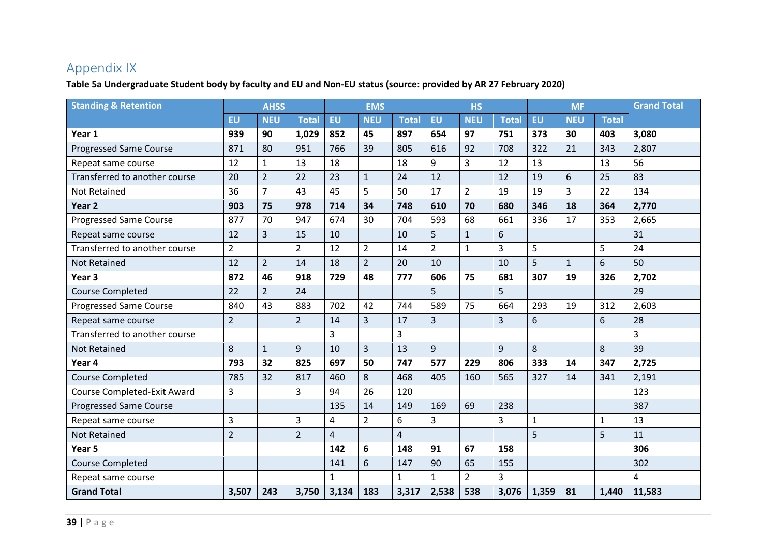## Appendix IX

**Table 5a Undergraduate Student body by faculty and EU and Non-EU status (source: provided by AR 27 February 2020)**

<span id="page-38-0"></span>

| <b>Standing &amp; Retention</b> | <b>AHSS</b>    |                |                |                | <b>EMS</b>     |                |                | <b>HS</b>      |                |              | <b>MF</b>    |              | <b>Grand Total</b> |
|---------------------------------|----------------|----------------|----------------|----------------|----------------|----------------|----------------|----------------|----------------|--------------|--------------|--------------|--------------------|
|                                 | <b>EU</b>      | <b>NEU</b>     | <b>Total</b>   | EU             | <b>NEU</b>     | <b>Total</b>   | EU             | <b>NEU</b>     | <b>Total</b>   | <b>EU</b>    | <b>NEU</b>   | <b>Total</b> |                    |
| Year 1                          | 939            | 90             | 1,029          | 852            | 45             | 897            | 654            | 97             | 751            | 373          | 30           | 403          | 3,080              |
| <b>Progressed Same Course</b>   | 871            | 80             | 951            | 766            | 39             | 805            | 616            | 92             | 708            | 322          | 21           | 343          | 2,807              |
| Repeat same course              | 12             | $\mathbf{1}$   | 13             | 18             |                | 18             | 9              | 3              | 12             | 13           |              | 13           | 56                 |
| Transferred to another course   | 20             | $\overline{2}$ | 22             | 23             | $\mathbf{1}$   | 24             | 12             |                | 12             | 19           | 6            | 25           | 83                 |
| <b>Not Retained</b>             | 36             | $\overline{7}$ | 43             | 45             | 5              | 50             | 17             | $\overline{2}$ | 19             | 19           | 3            | 22           | 134                |
| Year <sub>2</sub>               | 903            | 75             | 978            | 714            | 34             | 748            | 610            | 70             | 680            | 346          | 18           | 364          | 2,770              |
| <b>Progressed Same Course</b>   | 877            | 70             | 947            | 674            | 30             | 704            | 593            | 68             | 661            | 336          | 17           | 353          | 2,665              |
| Repeat same course              | 12             | 3              | 15             | 10             |                | 10             | 5              | $\mathbf{1}$   | 6              |              |              |              | 31                 |
| Transferred to another course   | $\overline{2}$ |                | $\overline{2}$ | 12             | $\overline{2}$ | 14             | $\overline{2}$ | $\mathbf{1}$   | $\overline{3}$ | 5            |              | 5            | 24                 |
| <b>Not Retained</b>             | 12             | $\overline{2}$ | 14             | 18             | $\overline{2}$ | 20             | 10             |                | 10             | 5            | $\mathbf{1}$ | 6            | 50                 |
| Year <sub>3</sub>               | 872            | 46             | 918            | 729            | 48             | 777            | 606            | 75             | 681            | 307          | 19           | 326          | 2,702              |
| <b>Course Completed</b>         | 22             | $\overline{2}$ | 24             |                |                |                | 5              |                | 5              |              |              |              | 29                 |
| <b>Progressed Same Course</b>   | 840            | 43             | 883            | 702            | 42             | 744            | 589            | 75             | 664            | 293          | 19           | 312          | 2,603              |
| Repeat same course              | $\overline{2}$ |                | $\overline{2}$ | 14             | $\overline{3}$ | 17             | 3              |                | $\overline{3}$ | 6            |              | 6            | 28                 |
| Transferred to another course   |                |                |                | 3              |                | 3              |                |                |                |              |              |              | 3                  |
| <b>Not Retained</b>             | 8              | $\mathbf{1}$   | 9              | 10             | $\overline{3}$ | 13             | 9              |                | 9              | 8            |              | 8            | 39                 |
| Year 4                          | 793            | 32             | 825            | 697            | 50             | 747            | 577            | 229            | 806            | 333          | 14           | 347          | 2,725              |
| <b>Course Completed</b>         | 785            | 32             | 817            | 460            | 8              | 468            | 405            | 160            | 565            | 327          | 14           | 341          | 2,191              |
| Course Completed-Exit Award     | 3              |                | 3              | 94             | 26             | 120            |                |                |                |              |              |              | 123                |
| <b>Progressed Same Course</b>   |                |                |                | 135            | 14             | 149            | 169            | 69             | 238            |              |              |              | 387                |
| Repeat same course              | $\overline{3}$ |                | 3              | 4              | $\overline{2}$ | 6              | $\overline{3}$ |                | $\overline{3}$ | $\mathbf{1}$ |              | $\mathbf 1$  | 13                 |
| <b>Not Retained</b>             | $\overline{2}$ |                | $\overline{2}$ | $\overline{4}$ |                | $\overline{4}$ |                |                |                | 5            |              | 5            | 11                 |
| Year 5                          |                |                |                | 142            | 6              | 148            | 91             | 67             | 158            |              |              |              | 306                |
| <b>Course Completed</b>         |                |                |                | 141            | 6              | 147            | 90             | 65             | 155            |              |              |              | 302                |
| Repeat same course              |                |                |                | $\mathbf{1}$   |                | $\mathbf{1}$   | $\mathbf{1}$   | $\overline{2}$ | $\overline{3}$ |              |              |              | 4                  |
| <b>Grand Total</b>              | 3,507          | 243            | 3,750          | 3,134          | 183            | 3,317          | 2,538          | 538            | 3,076          | 1,359        | 81           | 1,440        | 11,583             |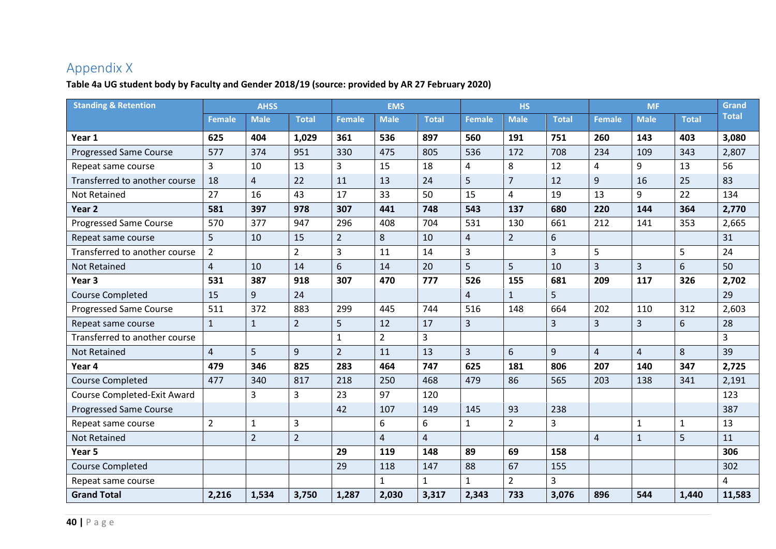## Appendix X

#### **Table 4a UG student body by Faculty and Gender 2018/19 (source: provided by AR 27 February 2020)**

<span id="page-39-0"></span>

| <b>Standing &amp; Retention</b> | <b>AHSS</b>    |                |                | <b>EMS</b>     |                  |                | <b>HS</b>      |                |                | <b>MF</b>      |                | Grand          |              |
|---------------------------------|----------------|----------------|----------------|----------------|------------------|----------------|----------------|----------------|----------------|----------------|----------------|----------------|--------------|
|                                 | <b>Female</b>  | <b>Male</b>    | <b>Total</b>   | <b>Female</b>  | <b>Male</b>      | <b>Total</b>   | <b>Female</b>  | <b>Male</b>    | <b>Total</b>   | <b>Female</b>  | <b>Male</b>    | <b>Total</b>   | <b>Total</b> |
| Year 1                          | 625            | 404            | 1,029          | 361            | 536              | 897            | 560            | 191            | 751            | 260            | 143            | 403            | 3,080        |
| <b>Progressed Same Course</b>   | 577            | 374            | 951            | 330            | 475              | 805            | 536            | 172            | 708            | 234            | 109            | 343            | 2,807        |
| Repeat same course              | 3              | 10             | 13             | 3              | 15               | 18             | 4              | 8              | 12             | $\overline{4}$ | 9              | 13             | 56           |
| Transferred to another course   | 18             | $\overline{4}$ | 22             | 11             | 13               | 24             | 5              | $\overline{7}$ | 12             | 9              | 16             | 25             | 83           |
| <b>Not Retained</b>             | 27             | 16             | 43             | 17             | 33               | 50             | 15             | $\overline{4}$ | 19             | 13             | 9              | 22             | 134          |
| Year 2                          | 581            | 397            | 978            | 307            | 441              | 748            | 543            | 137            | 680            | 220            | 144            | 364            | 2,770        |
| <b>Progressed Same Course</b>   | 570            | 377            | 947            | 296            | 408              | 704            | 531            | 130            | 661            | 212            | 141            | 353            | 2,665        |
| Repeat same course              | 5              | 10             | 15             | $\overline{2}$ | $\,8\,$          | 10             | $\overline{4}$ | $\overline{2}$ | 6              |                |                |                | 31           |
| Transferred to another course   | $\overline{2}$ |                | $\overline{2}$ | 3              | 11               | 14             | 3              |                | 3              | 5              |                | 5              | 24           |
| <b>Not Retained</b>             | $\overline{4}$ | 10             | 14             | 6              | 14               | 20             | 5              | 5              | 10             | $\overline{3}$ | $\overline{3}$ | 6              | 50           |
| Year <sub>3</sub>               | 531            | 387            | 918            | 307            | 470              | 777            | 526            | 155            | 681            | 209            | 117            | 326            | 2,702        |
| <b>Course Completed</b>         | 15             | 9              | 24             |                |                  |                | $\overline{4}$ | $\mathbf{1}$   | 5              |                |                |                | 29           |
| <b>Progressed Same Course</b>   | 511            | 372            | 883            | 299            | 445              | 744            | 516            | 148            | 664            | 202            | 110            | 312            | 2,603        |
| Repeat same course              | $\mathbf{1}$   | $\mathbf{1}$   | $\overline{2}$ | 5              | 12               | 17             | $\overline{3}$ |                | $\overline{3}$ | $\overline{3}$ | 3              | 6              | 28           |
| Transferred to another course   |                |                |                | $\mathbf{1}$   | $\overline{2}$   | 3              |                |                |                |                |                |                | 3            |
| <b>Not Retained</b>             | $\overline{4}$ | 5              | 9              | $\overline{2}$ | 11               | 13             | 3              | 6              | 9              | $\overline{4}$ | $\overline{4}$ | 8              | 39           |
| Year 4                          | 479            | 346            | 825            | 283            | 464              | 747            | 625            | 181            | 806            | 207            | 140            | 347            | 2,725        |
| <b>Course Completed</b>         | 477            | 340            | 817            | 218            | 250              | 468            | 479            | 86             | 565            | 203            | 138            | 341            | 2,191        |
| Course Completed-Exit Award     |                | 3              | $\overline{3}$ | 23             | 97               | 120            |                |                |                |                |                |                | 123          |
| <b>Progressed Same Course</b>   |                |                |                | 42             | 107              | 149            | 145            | 93             | 238            |                |                |                | 387          |
| Repeat same course              | $\overline{2}$ | $\mathbf 1$    | 3              |                | $\boldsymbol{6}$ | 6              | $\mathbf{1}$   | $\overline{2}$ | 3              |                | $\mathbf{1}$   | $\mathbf{1}$   | 13           |
| <b>Not Retained</b>             |                | $\overline{2}$ | $\overline{2}$ |                | $\overline{4}$   | $\overline{4}$ |                |                |                | $\overline{4}$ | $\mathbf{1}$   | $\overline{5}$ | 11           |
| Year 5                          |                |                |                | 29             | 119              | 148            | 89             | 69             | 158            |                |                |                | 306          |
| <b>Course Completed</b>         |                |                |                | 29             | 118              | 147            | 88             | 67             | 155            |                |                |                | 302          |
| Repeat same course              |                |                |                |                | $\mathbf{1}$     | $\mathbf{1}$   | $\mathbf{1}$   | $\overline{2}$ | 3              |                |                |                | 4            |
| <b>Grand Total</b>              | 2,216          | 1,534          | 3,750          | 1,287          | 2,030            | 3,317          | 2,343          | 733            | 3,076          | 896            | 544            | 1,440          | 11,583       |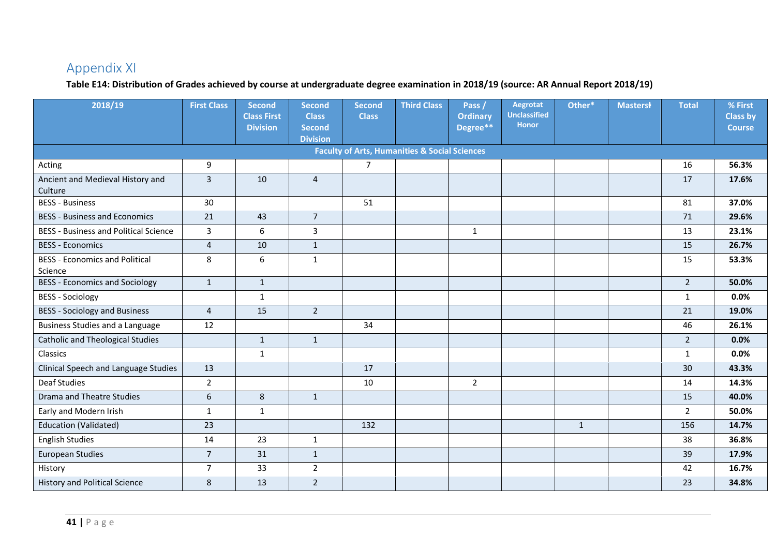## Appendix XI

#### **Table E14: Distribution of Grades achieved by course at undergraduate degree examination in 2018/19 (source: AR Annual Report 2018/19)**

<span id="page-40-0"></span>

| 2018/19                                          | <b>First Class</b> | <b>Second</b><br><b>Class First</b><br><b>Division</b> | <b>Second</b><br><b>Class</b><br><b>Second</b><br><b>Division</b> | <b>Second</b><br><b>Class</b> | <b>Third Class</b>                                       | Pass/<br><b>Ordinary</b><br>Degree** | Aegrotat<br><b>Unclassified</b><br><b>Honor</b> | Other*       | <b>Masterst</b> | <b>Total</b>   | % First<br><b>Class by</b><br><b>Course</b> |
|--------------------------------------------------|--------------------|--------------------------------------------------------|-------------------------------------------------------------------|-------------------------------|----------------------------------------------------------|--------------------------------------|-------------------------------------------------|--------------|-----------------|----------------|---------------------------------------------|
|                                                  |                    |                                                        |                                                                   |                               | <b>Faculty of Arts, Humanities &amp; Social Sciences</b> |                                      |                                                 |              |                 |                |                                             |
| Acting                                           | 9                  |                                                        |                                                                   | $\overline{7}$                |                                                          |                                      |                                                 |              |                 | 16             | 56.3%                                       |
| Ancient and Medieval History and<br>Culture      | $\overline{3}$     | 10                                                     | $\overline{4}$                                                    |                               |                                                          |                                      |                                                 |              |                 | 17             | 17.6%                                       |
| <b>BESS - Business</b>                           | 30                 |                                                        |                                                                   | 51                            |                                                          |                                      |                                                 |              |                 | 81             | 37.0%                                       |
| <b>BESS - Business and Economics</b>             | 21                 | 43                                                     | $\overline{7}$                                                    |                               |                                                          |                                      |                                                 |              |                 | 71             | 29.6%                                       |
| <b>BESS - Business and Political Science</b>     | 3                  | 6                                                      | 3                                                                 |                               |                                                          | $\mathbf{1}$                         |                                                 |              |                 | 13             | 23.1%                                       |
| <b>BESS - Economics</b>                          | 4                  | 10                                                     | $\mathbf{1}$                                                      |                               |                                                          |                                      |                                                 |              |                 | 15             | 26.7%                                       |
| <b>BESS - Economics and Political</b><br>Science | 8                  | 6                                                      | $\mathbf{1}$                                                      |                               |                                                          |                                      |                                                 |              |                 | 15             | 53.3%                                       |
| <b>BESS - Economics and Sociology</b>            | $\mathbf{1}$       | $\mathbf{1}$                                           |                                                                   |                               |                                                          |                                      |                                                 |              |                 | $2^{\circ}$    | 50.0%                                       |
| <b>BESS - Sociology</b>                          |                    | $\mathbf{1}$                                           |                                                                   |                               |                                                          |                                      |                                                 |              |                 | $\mathbf{1}$   | 0.0%                                        |
| <b>BESS - Sociology and Business</b>             | $\overline{4}$     | 15                                                     | $2^{\circ}$                                                       |                               |                                                          |                                      |                                                 |              |                 | 21             | 19.0%                                       |
| <b>Business Studies and a Language</b>           | 12                 |                                                        |                                                                   | 34                            |                                                          |                                      |                                                 |              |                 | 46             | 26.1%                                       |
| <b>Catholic and Theological Studies</b>          |                    | $\mathbf{1}$                                           | $\mathbf{1}$                                                      |                               |                                                          |                                      |                                                 |              |                 | $\overline{2}$ | 0.0%                                        |
| Classics                                         |                    | $\mathbf{1}$                                           |                                                                   |                               |                                                          |                                      |                                                 |              |                 | $\mathbf{1}$   | 0.0%                                        |
| Clinical Speech and Language Studies             | 13                 |                                                        |                                                                   | 17                            |                                                          |                                      |                                                 |              |                 | 30             | 43.3%                                       |
| <b>Deaf Studies</b>                              | $\overline{2}$     |                                                        |                                                                   | 10                            |                                                          | $\overline{2}$                       |                                                 |              |                 | 14             | 14.3%                                       |
| <b>Drama and Theatre Studies</b>                 | 6                  | $\bf 8$                                                | $\mathbf{1}$                                                      |                               |                                                          |                                      |                                                 |              |                 | 15             | 40.0%                                       |
| Early and Modern Irish                           | $\mathbf{1}$       | $\mathbf{1}$                                           |                                                                   |                               |                                                          |                                      |                                                 |              |                 | $2^{\circ}$    | 50.0%                                       |
| Education (Validated)                            | 23                 |                                                        |                                                                   | 132                           |                                                          |                                      |                                                 | $\mathbf{1}$ |                 | 156            | 14.7%                                       |
| <b>English Studies</b>                           | 14                 | 23                                                     | $\mathbf{1}$                                                      |                               |                                                          |                                      |                                                 |              |                 | 38             | 36.8%                                       |
| <b>European Studies</b>                          | $\overline{7}$     | 31                                                     | $\mathbf{1}$                                                      |                               |                                                          |                                      |                                                 |              |                 | 39             | 17.9%                                       |
| History                                          | $\overline{7}$     | 33                                                     | $2^{\circ}$                                                       |                               |                                                          |                                      |                                                 |              |                 | 42             | 16.7%                                       |
| <b>History and Political Science</b>             | 8                  | 13                                                     | $2^{\circ}$                                                       |                               |                                                          |                                      |                                                 |              |                 | 23             | 34.8%                                       |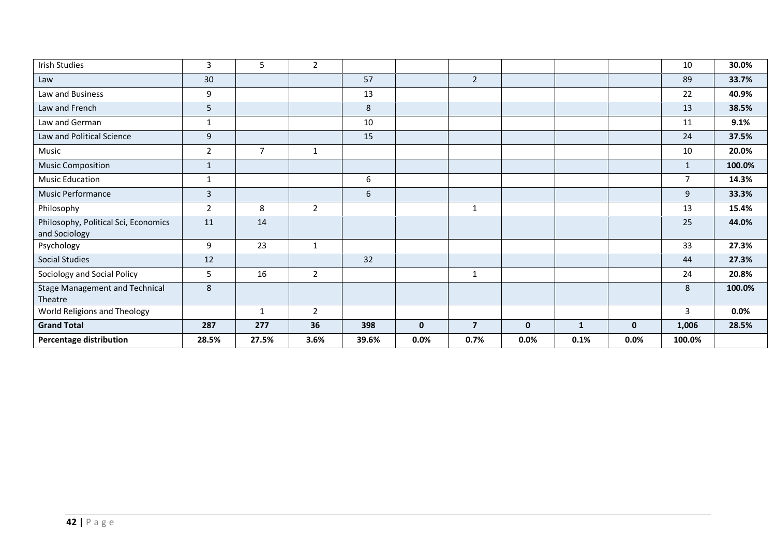| <b>Irish Studies</b>                                  | 3              | 5              | $\overline{2}$ |                  |              |                         |              |              |              | 10             | 30.0%  |
|-------------------------------------------------------|----------------|----------------|----------------|------------------|--------------|-------------------------|--------------|--------------|--------------|----------------|--------|
| Law                                                   | 30             |                |                | 57               |              | $\overline{2}$          |              |              |              | 89             | 33.7%  |
| Law and Business                                      | 9              |                |                | 13               |              |                         |              |              |              | 22             | 40.9%  |
| Law and French                                        | 5              |                |                | $\,8\,$          |              |                         |              |              |              | 13             | 38.5%  |
| Law and German                                        | $\mathbf{1}$   |                |                | 10               |              |                         |              |              |              | 11             | 9.1%   |
| Law and Political Science                             | 9              |                |                | 15               |              |                         |              |              |              | 24             | 37.5%  |
| Music                                                 | $\overline{2}$ | $\overline{7}$ | $\mathbf{1}$   |                  |              |                         |              |              |              | 10             | 20.0%  |
| <b>Music Composition</b>                              | $\mathbf{1}$   |                |                |                  |              |                         |              |              |              | $\mathbf{1}$   | 100.0% |
| <b>Music Education</b>                                | 1              |                |                | $\boldsymbol{6}$ |              |                         |              |              |              | $\overline{7}$ | 14.3%  |
| Music Performance                                     | $\overline{3}$ |                |                | 6                |              |                         |              |              |              | 9              | 33.3%  |
| Philosophy                                            | $\overline{2}$ | 8              | $\overline{2}$ |                  |              | $\mathbf{1}$            |              |              |              | 13             | 15.4%  |
| Philosophy, Political Sci, Economics<br>and Sociology | 11             | 14             |                |                  |              |                         |              |              |              | 25             | 44.0%  |
| Psychology                                            | 9              | 23             | $\mathbf 1$    |                  |              |                         |              |              |              | 33             | 27.3%  |
| <b>Social Studies</b>                                 | 12             |                |                | 32               |              |                         |              |              |              | 44             | 27.3%  |
| Sociology and Social Policy                           | 5              | 16             | $\overline{2}$ |                  |              | $\mathbf{1}$            |              |              |              | 24             | 20.8%  |
| <b>Stage Management and Technical</b><br>Theatre      | 8              |                |                |                  |              |                         |              |              |              | 8              | 100.0% |
| World Religions and Theology                          |                | 1              | 2              |                  |              |                         |              |              |              | $\overline{3}$ | 0.0%   |
| <b>Grand Total</b>                                    | 287            | 277            | 36             | 398              | $\mathbf{0}$ | $\overline{\mathbf{z}}$ | $\mathbf{0}$ | $\mathbf{1}$ | $\mathbf{0}$ | 1,006          | 28.5%  |
| <b>Percentage distribution</b>                        | 28.5%          | 27.5%          | 3.6%           | 39.6%            | 0.0%         | 0.7%                    | 0.0%         | 0.1%         | $0.0\%$      | 100.0%         |        |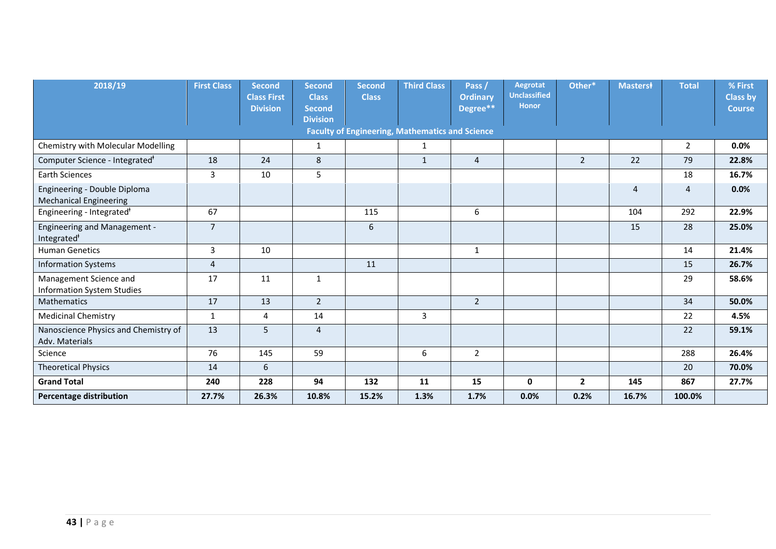| 2018/19                                                        | <b>First Class</b> | <b>Second</b><br><b>Class First</b><br><b>Division</b> | <b>Second</b><br><b>Class</b><br><b>Second</b> | <b>Second</b><br><b>Class</b> | <b>Third Class</b>                                     | Pass <sub>/</sub><br><b>Ordinary</b><br>Degree <sup>**</sup> | Aegrotat<br><b>Unclassified</b><br><b>Honor</b> | Other*         | <b>Masterst</b> | <b>Total</b>   | % First<br><b>Class by</b><br><b>Course</b> |
|----------------------------------------------------------------|--------------------|--------------------------------------------------------|------------------------------------------------|-------------------------------|--------------------------------------------------------|--------------------------------------------------------------|-------------------------------------------------|----------------|-----------------|----------------|---------------------------------------------|
|                                                                |                    |                                                        | <b>Division</b>                                |                               |                                                        |                                                              |                                                 |                |                 |                |                                             |
|                                                                |                    |                                                        |                                                |                               | <b>Faculty of Engineering, Mathematics and Science</b> |                                                              |                                                 |                |                 |                |                                             |
| Chemistry with Molecular Modelling                             |                    |                                                        | 1                                              |                               | 1                                                      |                                                              |                                                 |                |                 | $\overline{2}$ | 0.0%                                        |
| Computer Science - Integrated <sup>+</sup>                     | 18                 | 24                                                     | 8                                              |                               | $\mathbf{1}$                                           | $\overline{4}$                                               |                                                 | $\overline{2}$ | 22              | 79             | 22.8%                                       |
| <b>Earth Sciences</b>                                          | 3                  | 10                                                     | 5                                              |                               |                                                        |                                                              |                                                 |                |                 | 18             | 16.7%                                       |
| Engineering - Double Diploma<br><b>Mechanical Engineering</b>  |                    |                                                        |                                                |                               |                                                        |                                                              |                                                 |                | $\overline{4}$  | $\overline{4}$ | 0.0%                                        |
| Engineering - Integrated <sup>+</sup>                          | 67                 |                                                        |                                                | 115                           |                                                        | 6                                                            |                                                 |                | 104             | 292            | 22.9%                                       |
| <b>Engineering and Management -</b><br>Integrated <sup>*</sup> | $\overline{7}$     |                                                        |                                                | 6                             |                                                        |                                                              |                                                 |                | 15              | 28             | 25.0%                                       |
| <b>Human Genetics</b>                                          | $\mathbf{3}$       | 10                                                     |                                                |                               |                                                        | $\mathbf{1}$                                                 |                                                 |                |                 | 14             | 21.4%                                       |
| <b>Information Systems</b>                                     | $\overline{4}$     |                                                        |                                                | 11                            |                                                        |                                                              |                                                 |                |                 | 15             | 26.7%                                       |
| Management Science and<br><b>Information System Studies</b>    | 17                 | 11                                                     | $\mathbf{1}$                                   |                               |                                                        |                                                              |                                                 |                |                 | 29             | 58.6%                                       |
| Mathematics                                                    | 17                 | 13                                                     | $\overline{2}$                                 |                               |                                                        | $\overline{2}$                                               |                                                 |                |                 | 34             | 50.0%                                       |
| <b>Medicinal Chemistry</b>                                     | $\mathbf{1}$       | 4                                                      | 14                                             |                               | 3                                                      |                                                              |                                                 |                |                 | 22             | 4.5%                                        |
| Nanoscience Physics and Chemistry of<br>Adv. Materials         | 13                 | 5                                                      | 4                                              |                               |                                                        |                                                              |                                                 |                |                 | 22             | 59.1%                                       |
| Science                                                        | 76                 | 145                                                    | 59                                             |                               | 6                                                      | $\overline{2}$                                               |                                                 |                |                 | 288            | 26.4%                                       |
| <b>Theoretical Physics</b>                                     | 14                 | 6                                                      |                                                |                               |                                                        |                                                              |                                                 |                |                 | 20             | 70.0%                                       |
| <b>Grand Total</b>                                             | 240                | 228                                                    | 94                                             | 132                           | 11                                                     | 15                                                           | $\mathbf{0}$                                    | $\overline{2}$ | 145             | 867            | 27.7%                                       |
| <b>Percentage distribution</b>                                 | 27.7%              | 26.3%                                                  | 10.8%                                          | 15.2%                         | 1.3%                                                   | 1.7%                                                         | 0.0%                                            | 0.2%           | 16.7%           | 100.0%         |                                             |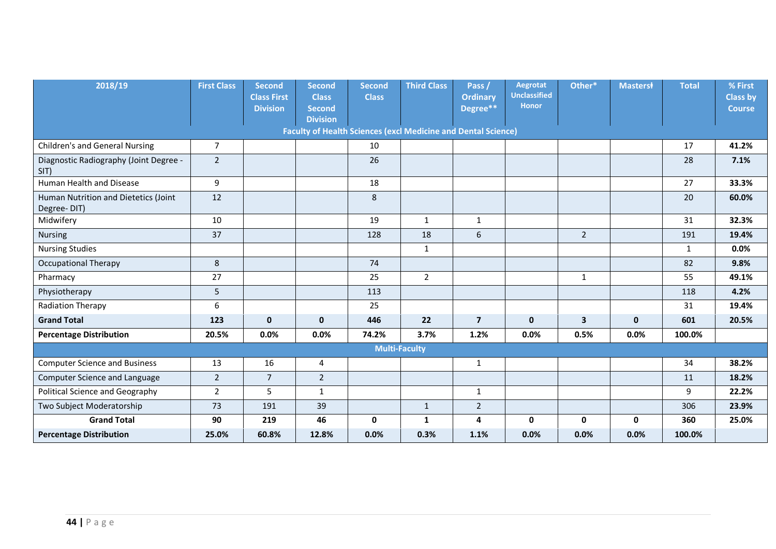| 2018/19                                             | <b>First Class</b> | <b>Second</b><br><b>Class First</b><br><b>Division</b> | <b>Second</b><br><b>Class</b><br><b>Second</b><br><b>Division</b> | <b>Second</b><br><b>Class</b> | <b>Third Class</b>                                                   | Pass /<br><b>Ordinary</b><br>Degree** | Aegrotat<br><b>Unclassified</b><br><b>Honor</b> | Other*         | <b>Masterst</b> | <b>Total</b> | % First<br><b>Class by</b><br><b>Course</b> |
|-----------------------------------------------------|--------------------|--------------------------------------------------------|-------------------------------------------------------------------|-------------------------------|----------------------------------------------------------------------|---------------------------------------|-------------------------------------------------|----------------|-----------------|--------------|---------------------------------------------|
|                                                     |                    |                                                        |                                                                   |                               | <b>Faculty of Health Sciences (excl Medicine and Dental Science)</b> |                                       |                                                 |                |                 |              |                                             |
| <b>Children's and General Nursing</b>               | $\overline{7}$     |                                                        |                                                                   | 10                            |                                                                      |                                       |                                                 |                |                 | 17           | 41.2%                                       |
| Diagnostic Radiography (Joint Degree -<br>SIT)      | $\overline{2}$     |                                                        |                                                                   | 26                            |                                                                      |                                       |                                                 |                |                 | 28           | 7.1%                                        |
| Human Health and Disease                            | 9                  |                                                        |                                                                   | 18                            |                                                                      |                                       |                                                 |                |                 | 27           | 33.3%                                       |
| Human Nutrition and Dietetics (Joint<br>Degree-DIT) | 12                 |                                                        |                                                                   | 8                             |                                                                      |                                       |                                                 |                |                 | 20           | 60.0%                                       |
| Midwifery                                           | 10                 |                                                        |                                                                   | 19                            | $\mathbf{1}$                                                         | 1                                     |                                                 |                |                 | 31           | 32.3%                                       |
| <b>Nursing</b>                                      | 37                 |                                                        |                                                                   | 128                           | 18                                                                   | 6                                     |                                                 | $\overline{2}$ |                 | 191          | 19.4%                                       |
| <b>Nursing Studies</b>                              |                    |                                                        |                                                                   |                               | $\mathbf{1}$                                                         |                                       |                                                 |                |                 | $\mathbf{1}$ | $0.0\%$                                     |
| <b>Occupational Therapy</b>                         | $\,8\,$            |                                                        |                                                                   | 74                            |                                                                      |                                       |                                                 |                |                 | 82           | 9.8%                                        |
| Pharmacy                                            | 27                 |                                                        |                                                                   | 25                            | $\overline{2}$                                                       |                                       |                                                 | $\mathbf{1}$   |                 | 55           | 49.1%                                       |
| Physiotherapy                                       | 5                  |                                                        |                                                                   | 113                           |                                                                      |                                       |                                                 |                |                 | 118          | 4.2%                                        |
| <b>Radiation Therapy</b>                            | 6                  |                                                        |                                                                   | 25                            |                                                                      |                                       |                                                 |                |                 | 31           | 19.4%                                       |
| <b>Grand Total</b>                                  | 123                | $\mathbf{0}$                                           | $\mathbf 0$                                                       | 446                           | 22                                                                   | $\overline{7}$                        | $\mathbf{0}$                                    | $\mathbf{3}$   | $\mathbf{0}$    | 601          | 20.5%                                       |
| <b>Percentage Distribution</b>                      | 20.5%              | 0.0%                                                   | 0.0%                                                              | 74.2%                         | 3.7%                                                                 | 1.2%                                  | 0.0%                                            | 0.5%           | 0.0%            | 100.0%       |                                             |
|                                                     |                    |                                                        |                                                                   |                               | <b>Multi-Faculty</b>                                                 |                                       |                                                 |                |                 |              |                                             |
| <b>Computer Science and Business</b>                | 13                 | 16                                                     | 4                                                                 |                               |                                                                      | $\mathbf{1}$                          |                                                 |                |                 | 34           | 38.2%                                       |
| Computer Science and Language                       | $\overline{2}$     | $\overline{7}$                                         | $\overline{2}$                                                    |                               |                                                                      |                                       |                                                 |                |                 | 11           | 18.2%                                       |
| <b>Political Science and Geography</b>              | $\overline{2}$     | 5                                                      | 1                                                                 |                               |                                                                      | 1                                     |                                                 |                |                 | 9            | 22.2%                                       |
| Two Subject Moderatorship                           | 73                 | 191                                                    | 39                                                                |                               | $\mathbf{1}$                                                         | $\overline{2}$                        |                                                 |                |                 | 306          | 23.9%                                       |
| <b>Grand Total</b>                                  | 90                 | 219                                                    | 46                                                                | $\mathbf 0$                   | 1                                                                    | 4                                     | $\mathbf{0}$                                    | $\mathbf 0$    | $\mathbf{0}$    | 360          | 25.0%                                       |
| <b>Percentage Distribution</b>                      | 25.0%              | 60.8%                                                  | 12.8%                                                             | 0.0%                          | 0.3%                                                                 | 1.1%                                  | 0.0%                                            | 0.0%           | 0.0%            | 100.0%       |                                             |